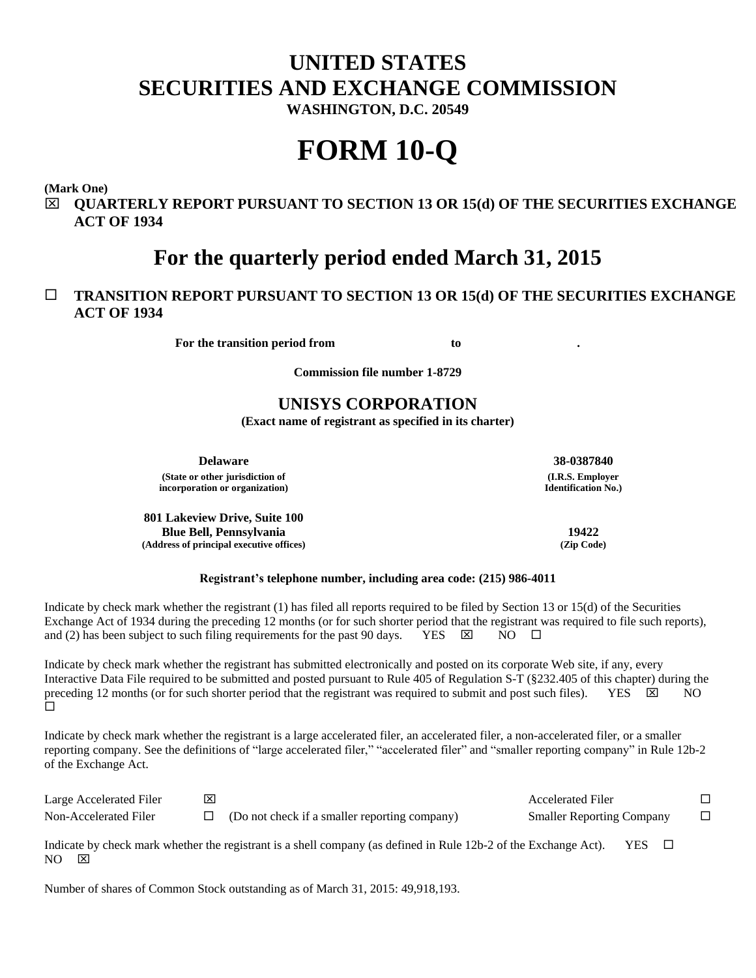## **UNITED STATES SECURITIES AND EXCHANGE COMMISSION**

**WASHINGTON, D.C. 20549**

# **FORM 10-Q**

**(Mark One)**

NO **X** 

 **QUARTERLY REPORT PURSUANT TO SECTION 13 OR 15(d) OF THE SECURITIES EXCHANGE ACT OF 1934**

## **For the quarterly period ended March 31, 2015**

## **TRANSITION REPORT PURSUANT TO SECTION 13 OR 15(d) OF THE SECURITIES EXCHANGE ACT OF 1934**

**For the transition period from to .**

**Commission file number 1-8729**

## **UNISYS CORPORATION**

**(Exact name of registrant as specified in its charter)**

**(State or other jurisdiction of incorporation or organization)**

**801 Lakeview Drive, Suite 100 Blue Bell, Pennsylvania 19422 (Address of principal executive offices) (Zip Code)**

**Delaware 38-0387840 (I.R.S. Employer Identification No.)**

#### **Registrant's telephone number, including area code: (215) 986-4011**

Indicate by check mark whether the registrant (1) has filed all reports required to be filed by Section 13 or 15(d) of the Securities Exchange Act of 1934 during the preceding 12 months (or for such shorter period that the registrant was required to file such reports), and (2) has been subject to such filing requirements for the past 90 days. YES  $\boxtimes$  NO  $\Box$ 

Indicate by check mark whether the registrant has submitted electronically and posted on its corporate Web site, if any, every Interactive Data File required to be submitted and posted pursuant to Rule 405 of Regulation S-T (§232.405 of this chapter) during the preceding 12 months (or for such shorter period that the registrant was required to submit and post such files). YES  $\boxtimes$  NO  $\Box$ 

Indicate by check mark whether the registrant is a large accelerated filer, an accelerated filer, a non-accelerated filer, or a smaller reporting company. See the definitions of "large accelerated filer," "accelerated filer" and "smaller reporting company" in Rule 12b-2 of the Exchange Act.

| Large Accelerated Filer | $\overline{\mathbf{x}}$ |                                                                                                                  | Accelerated Filer                |      |  |
|-------------------------|-------------------------|------------------------------------------------------------------------------------------------------------------|----------------------------------|------|--|
| Non-Accelerated Filer   |                         | (Do not check if a smaller reporting company)                                                                    | <b>Smaller Reporting Company</b> |      |  |
|                         |                         | Indicate by check mark whether the registrant is a shell company (as defined in Rule 12b-2 of the Exchange Act). |                                  | YES. |  |

Number of shares of Common Stock outstanding as of March 31, 2015: 49,918,193.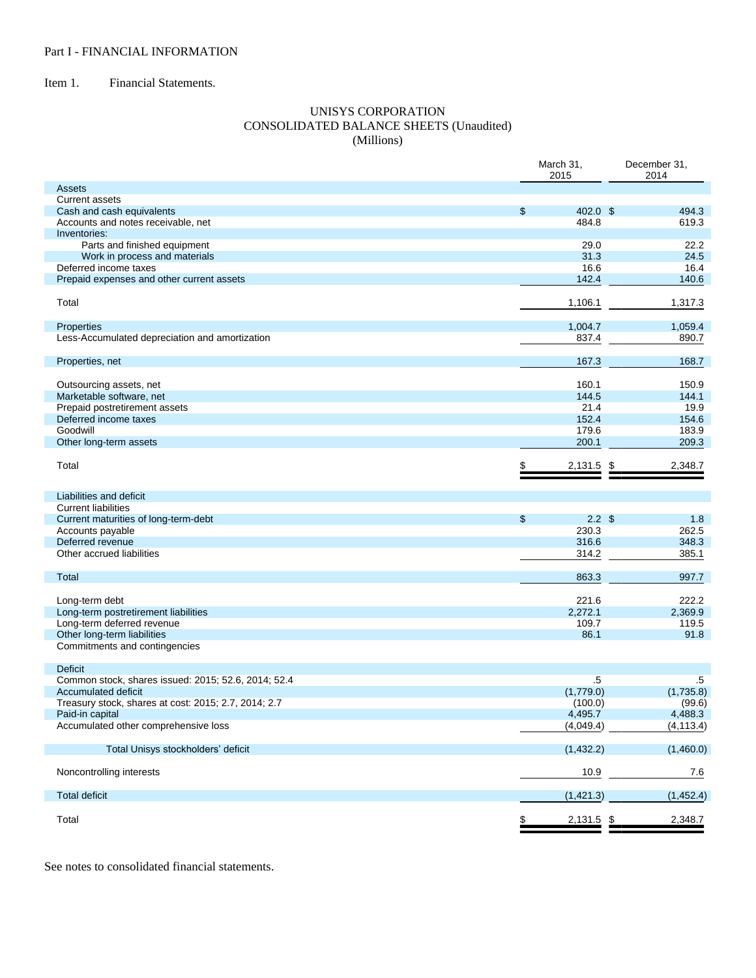#### Item 1. Financial Statements.

#### UNISYS CORPORATION CONSOLIDATED BALANCE SHEETS (Unaudited) (Millions)

|                                                      | March 31,<br>2015 | December 31,<br>2014    |
|------------------------------------------------------|-------------------|-------------------------|
| Assets                                               |                   |                         |
| <b>Current assets</b>                                |                   |                         |
| Cash and cash equivalents                            | \$<br>402.0 \$    | 494.3                   |
| Accounts and notes receivable, net                   | 484.8             | 619.3                   |
| Inventories:                                         |                   |                         |
| Parts and finished equipment                         | 29.0              | 22.2                    |
| Work in process and materials                        | 31.3              | 24.5                    |
| Deferred income taxes                                | 16.6              | 16.4                    |
| Prepaid expenses and other current assets            | 142.4             | 140.6                   |
|                                                      |                   |                         |
| Total                                                | 1,106.1           | 1,317.3                 |
|                                                      |                   |                         |
|                                                      |                   |                         |
| Properties                                           | 1,004.7           | 1,059.4                 |
| Less-Accumulated depreciation and amortization       | 837.4             | 890.7                   |
| Properties, net                                      | 167.3             | 168.7                   |
|                                                      |                   |                         |
| Outsourcing assets, net                              | 160.1             | 150.9                   |
| Marketable software, net                             | 144.5             | 144.1                   |
| Prepaid postretirement assets                        | 21.4              | 19.9                    |
| Deferred income taxes                                | 152.4             | 154.6                   |
| Goodwill                                             | 179.6             | 183.9                   |
| Other long-term assets                               | 200.1             | 209.3                   |
|                                                      |                   |                         |
| Total                                                | $2,131.5$ \$      | 2,348.7                 |
|                                                      |                   |                         |
|                                                      |                   |                         |
| Liabilities and deficit                              |                   |                         |
| <b>Current liabilities</b>                           |                   |                         |
| Current maturities of long-term-debt                 | \$                | $2.2 \text{ } $$<br>1.8 |
| Accounts payable                                     | 230.3             | 262.5                   |
| Deferred revenue                                     | 316.6             | 348.3                   |
| Other accrued liabilities                            | 314.2             | 385.1                   |
|                                                      |                   |                         |
| Total                                                | 863.3             | 997.7                   |
|                                                      |                   |                         |
| Long-term debt                                       | 221.6             | 222.2                   |
| Long-term postretirement liabilities                 | 2,272.1           | 2,369.9                 |
| Long-term deferred revenue                           | 109.7             | 119.5                   |
| Other long-term liabilities                          | 86.1              | 91.8                    |
| Commitments and contingencies                        |                   |                         |
|                                                      |                   |                         |
| <b>Deficit</b>                                       |                   |                         |
| Common stock, shares issued: 2015; 52.6, 2014; 52.4  | .5                | .5                      |
| <b>Accumulated deficit</b>                           | (1,779.0)         | (1,735.8)               |
| Treasury stock, shares at cost: 2015; 2.7, 2014; 2.7 | (100.0)           | (99.6)                  |
| Paid-in capital                                      | 4,495.7           | 4,488.3                 |
| Accumulated other comprehensive loss                 | (4,049.4)         | (4, 113.4)              |
|                                                      |                   |                         |
| Total Unisys stockholders' deficit                   | (1,432.2)         | (1,460.0)               |
| Noncontrolling interests                             | 10.9              | 7.6                     |
|                                                      |                   |                         |
| <b>Total deficit</b>                                 | (1,421.3)         | (1,452.4)               |
|                                                      |                   |                         |
| Total                                                | 2,131.5 \$        | 2,348.7                 |
|                                                      |                   |                         |

See notes to consolidated financial statements.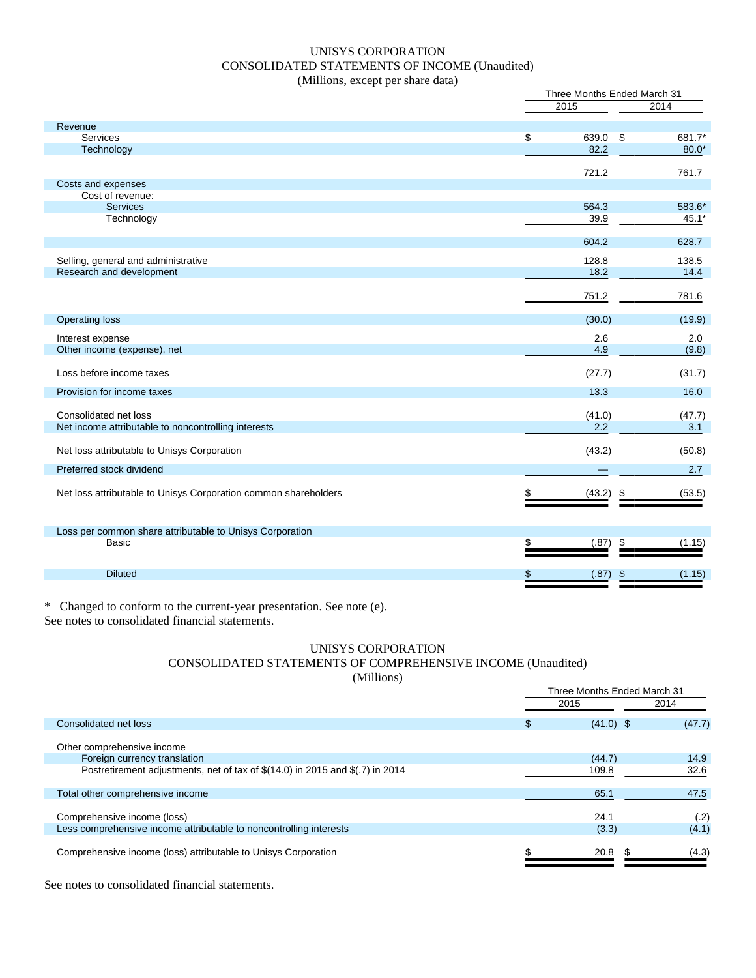#### UNISYS CORPORATION CONSOLIDATED STATEMENTS OF INCOME (Unaudited) (Millions, except per share data)

|                                                                 |                             | Three Months Ended March 31 |
|-----------------------------------------------------------------|-----------------------------|-----------------------------|
|                                                                 | 2015                        | 2014                        |
| Revenue                                                         |                             |                             |
| Services                                                        | $\overline{\$}$<br>639.0 \$ | 681.7*                      |
| Technology                                                      | 82.2                        | $80.0*$                     |
|                                                                 |                             |                             |
|                                                                 | 721.2                       | 761.7                       |
| Costs and expenses<br>Cost of revenue:                          |                             |                             |
| <b>Services</b>                                                 | 564.3                       | 583.6*                      |
| Technology                                                      | 39.9                        | $45.1*$                     |
|                                                                 |                             |                             |
|                                                                 | 604.2                       | 628.7                       |
| Selling, general and administrative                             | 128.8                       | 138.5                       |
| Research and development                                        | 18.2                        | 14.4                        |
|                                                                 |                             |                             |
|                                                                 | 751.2                       | 781.6                       |
| <b>Operating loss</b>                                           | (30.0)                      | (19.9)                      |
|                                                                 |                             |                             |
| Interest expense                                                | 2.6                         | 2.0                         |
| Other income (expense), net                                     | 4.9                         | (9.8)                       |
| Loss before income taxes                                        | (27.7)                      | (31.7)                      |
| Provision for income taxes                                      | 13.3                        | 16.0                        |
|                                                                 |                             |                             |
| Consolidated net loss                                           | (41.0)                      | (47.7)                      |
| Net income attributable to noncontrolling interests             | 2.2                         | 3.1                         |
| Net loss attributable to Unisys Corporation                     | (43.2)                      | (50.8)                      |
| Preferred stock dividend                                        |                             | 2.7                         |
|                                                                 |                             |                             |
| Net loss attributable to Unisys Corporation common shareholders | (43.2)                      | (53.5)                      |
|                                                                 |                             |                             |
| Loss per common share attributable to Unisys Corporation        |                             |                             |
| <b>Basic</b>                                                    | (.87)<br>\$                 | (1.15)                      |
|                                                                 |                             |                             |
| <b>Diluted</b>                                                  | \$<br>(.87)                 | \$<br>(1.15)                |
|                                                                 |                             |                             |

\* Changed to conform to the current-year presentation. See note (e).

See notes to consolidated financial statements.

#### UNISYS CORPORATION CONSOLIDATED STATEMENTS OF COMPREHENSIVE INCOME (Unaudited) (Millions)

|                                                                               | Three Months Ended March 31 |             |        |
|-------------------------------------------------------------------------------|-----------------------------|-------------|--------|
|                                                                               |                             | 2015        | 2014   |
| Consolidated net loss                                                         |                             | $(41.0)$ \$ | (47.7) |
| Other comprehensive income                                                    |                             |             |        |
| Foreign currency translation                                                  |                             | (44.7)      | 14.9   |
| Postretirement adjustments, net of tax of \$(14.0) in 2015 and \$(.7) in 2014 |                             | 109.8       | 32.6   |
| Total other comprehensive income                                              |                             | 65.1        | 47.5   |
| Comprehensive income (loss)                                                   |                             | 24.1        | (.2)   |
| Less comprehensive income attributable to noncontrolling interests            |                             | (3.3)       | (4.1)  |
| Comprehensive income (loss) attributable to Unisys Corporation                |                             | 20.8        | (4.3)  |

See notes to consolidated financial statements.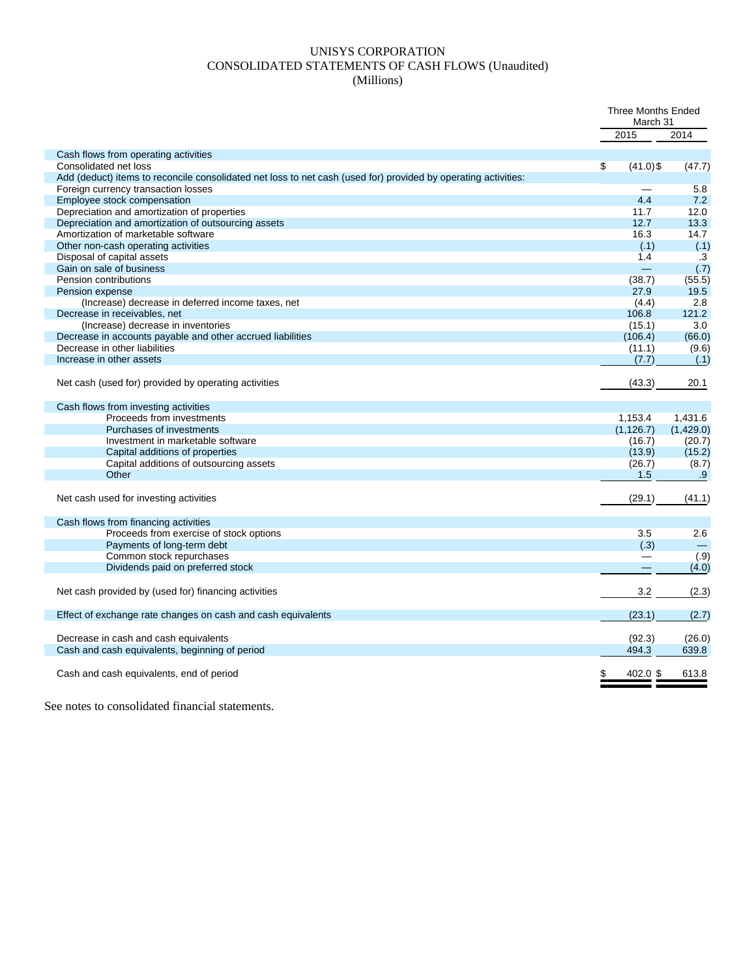#### UNISYS CORPORATION CONSOLIDATED STATEMENTS OF CASH FLOWS (Unaudited) (Millions)

|                                                                                                                | <b>Three Months Ended</b><br>March 31 |             |           |  |
|----------------------------------------------------------------------------------------------------------------|---------------------------------------|-------------|-----------|--|
|                                                                                                                |                                       | 2015        | 2014      |  |
| Cash flows from operating activities                                                                           |                                       |             |           |  |
| Consolidated net loss                                                                                          | \$                                    | $(41.0)$ \$ | (47.7)    |  |
| Add (deduct) items to reconcile consolidated net loss to net cash (used for) provided by operating activities: |                                       |             |           |  |
| Foreign currency transaction losses                                                                            |                                       |             | 5.8       |  |
| Employee stock compensation                                                                                    |                                       | 4.4         | 7.2       |  |
| Depreciation and amortization of properties                                                                    |                                       | 11.7        | 12.0      |  |
| Depreciation and amortization of outsourcing assets                                                            |                                       | 12.7        | 13.3      |  |
| Amortization of marketable software                                                                            |                                       | 16.3        | 14.7      |  |
| Other non-cash operating activities                                                                            |                                       | (.1)        | (.1)      |  |
| Disposal of capital assets                                                                                     |                                       | 1.4         | $\cdot$ 3 |  |
| Gain on sale of business                                                                                       |                                       |             | (.7)      |  |
| Pension contributions                                                                                          |                                       | (38.7)      | (55.5)    |  |
| Pension expense                                                                                                |                                       | 27.9        | 19.5      |  |
| (Increase) decrease in deferred income taxes, net                                                              |                                       | (4.4)       | 2.8       |  |
| Decrease in receivables, net                                                                                   |                                       | 106.8       | 121.2     |  |
| (Increase) decrease in inventories                                                                             |                                       | (15.1)      | 3.0       |  |
| Decrease in accounts payable and other accrued liabilities                                                     |                                       | (106.4)     | (66.0)    |  |
| Decrease in other liabilities                                                                                  |                                       | (11.1)      | (9.6)     |  |
| Increase in other assets                                                                                       |                                       | (7.7)       | (.1)      |  |
|                                                                                                                |                                       |             |           |  |
| Net cash (used for) provided by operating activities                                                           |                                       | (43.3)      | 20.1      |  |
| Cash flows from investing activities                                                                           |                                       |             |           |  |
| Proceeds from investments                                                                                      |                                       | 1,153.4     | 1,431.6   |  |
| Purchases of investments                                                                                       |                                       | (1, 126.7)  | (1,429.0) |  |
| Investment in marketable software                                                                              |                                       | (16.7)      | (20.7)    |  |
| Capital additions of properties                                                                                |                                       | (13.9)      | (15.2)    |  |
| Capital additions of outsourcing assets                                                                        |                                       | (26.7)      | (8.7)     |  |
| Other                                                                                                          |                                       | 1.5         | .9        |  |
|                                                                                                                |                                       |             |           |  |
| Net cash used for investing activities                                                                         |                                       | (29.1)      | (41.1)    |  |
| Cash flows from financing activities                                                                           |                                       |             |           |  |
| Proceeds from exercise of stock options                                                                        |                                       | 3.5         | 2.6       |  |
| Payments of long-term debt                                                                                     |                                       | (.3)        |           |  |
| Common stock repurchases                                                                                       |                                       |             | (.9)      |  |
| Dividends paid on preferred stock                                                                              |                                       |             | (4.0)     |  |
|                                                                                                                |                                       |             |           |  |
| Net cash provided by (used for) financing activities                                                           |                                       | 3.2         | (2.3)     |  |
|                                                                                                                |                                       |             |           |  |
| Effect of exchange rate changes on cash and cash equivalents                                                   |                                       | (23.1)      | (2.7)     |  |
| Decrease in cash and cash equivalents                                                                          |                                       | (92.3)      | (26.0)    |  |
| Cash and cash equivalents, beginning of period                                                                 |                                       | 494.3       | 639.8     |  |
|                                                                                                                |                                       |             |           |  |
| Cash and cash equivalents, end of period                                                                       | \$                                    | 402.0 \$    | 613.8     |  |

See notes to consolidated financial statements.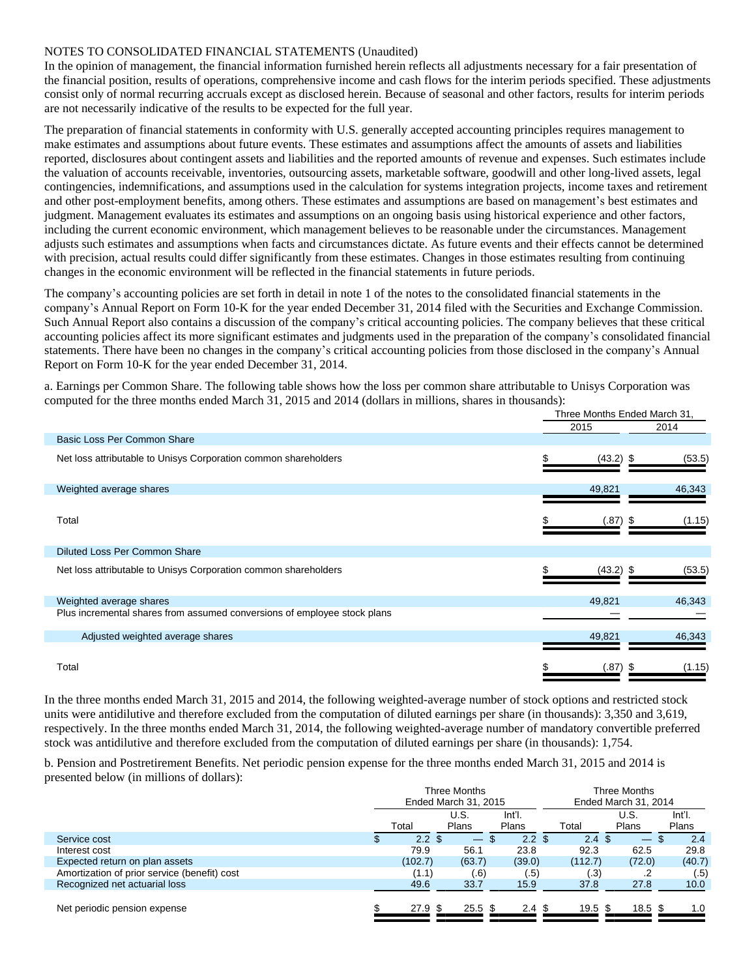#### NOTES TO CONSOLIDATED FINANCIAL STATEMENTS (Unaudited)

In the opinion of management, the financial information furnished herein reflects all adjustments necessary for a fair presentation of the financial position, results of operations, comprehensive income and cash flows for the interim periods specified. These adjustments consist only of normal recurring accruals except as disclosed herein. Because of seasonal and other factors, results for interim periods are not necessarily indicative of the results to be expected for the full year.

The preparation of financial statements in conformity with U.S. generally accepted accounting principles requires management to make estimates and assumptions about future events. These estimates and assumptions affect the amounts of assets and liabilities reported, disclosures about contingent assets and liabilities and the reported amounts of revenue and expenses. Such estimates include the valuation of accounts receivable, inventories, outsourcing assets, marketable software, goodwill and other long-lived assets, legal contingencies, indemnifications, and assumptions used in the calculation for systems integration projects, income taxes and retirement and other post-employment benefits, among others. These estimates and assumptions are based on management's best estimates and judgment. Management evaluates its estimates and assumptions on an ongoing basis using historical experience and other factors, including the current economic environment, which management believes to be reasonable under the circumstances. Management adjusts such estimates and assumptions when facts and circumstances dictate. As future events and their effects cannot be determined with precision, actual results could differ significantly from these estimates. Changes in those estimates resulting from continuing changes in the economic environment will be reflected in the financial statements in future periods.

The company's accounting policies are set forth in detail in note 1 of the notes to the consolidated financial statements in the company's Annual Report on Form 10-K for the year ended December 31, 2014 filed with the Securities and Exchange Commission. Such Annual Report also contains a discussion of the company's critical accounting policies. The company believes that these critical accounting policies affect its more significant estimates and judgments used in the preparation of the company's consolidated financial statements. There have been no changes in the company's critical accounting policies from those disclosed in the company's Annual Report on Form 10-K for the year ended December 31, 2014.

a. Earnings per Common Share. The following table shows how the loss per common share attributable to Unisys Corporation was computed for the three months ended March 31, 2015 and 2014 (dollars in millions, shares in thousands):

|                                                                          | Three Months Ended March 31, |             |        |
|--------------------------------------------------------------------------|------------------------------|-------------|--------|
|                                                                          |                              | 2015        | 2014   |
| Basic Loss Per Common Share                                              |                              |             |        |
| Net loss attributable to Unisys Corporation common shareholders          |                              | $(43.2)$ \$ | (53.5) |
| Weighted average shares                                                  |                              | 49,821      | 46,343 |
| Total                                                                    |                              | $(.87)$ \$  | (1.15) |
| Diluted Loss Per Common Share                                            |                              |             |        |
| Net loss attributable to Unisys Corporation common shareholders          |                              | $(43.2)$ \$ | (53.5) |
| Weighted average shares                                                  |                              | 49,821      | 46,343 |
| Plus incremental shares from assumed conversions of employee stock plans |                              |             |        |
| Adjusted weighted average shares                                         |                              | 49,821      | 46,343 |
| Total                                                                    |                              | (.87) \$    | (1.15) |

In the three months ended March 31, 2015 and 2014, the following weighted-average number of stock options and restricted stock units were antidilutive and therefore excluded from the computation of diluted earnings per share (in thousands): 3,350 and 3,619, respectively. In the three months ended March 31, 2014, the following weighted-average number of mandatory convertible preferred stock was antidilutive and therefore excluded from the computation of diluted earnings per share (in thousands): 1,754.

b. Pension and Postretirement Benefits. Net periodic pension expense for the three months ended March 31, 2015 and 2014 is presented below (in millions of dollars):

|                                              | Three Months<br>Ended March 31, 2015 |                                | Three Months<br>Ended March 31, 2014 |                   |                                |                  |
|----------------------------------------------|--------------------------------------|--------------------------------|--------------------------------------|-------------------|--------------------------------|------------------|
|                                              |                                      | U.S.                           | Int'l.                               |                   | U.S.                           | Int'l.           |
|                                              | Total                                | Plans                          | Plans                                | Total             | Plans                          | Plans            |
| Service cost                                 | $2.2 \text{ }$ \$                    | $\qquad \qquad \longleftarrow$ | $2.2 \text{ }$ \$<br>-35             | $2.4 \text{ } $$  | $\qquad \qquad \longleftarrow$ | 2.4<br><b>JD</b> |
| Interest cost                                | 79.9                                 | 56.1                           | 23.8                                 | 92.3              | 62.5                           | 29.8             |
| Expected return on plan assets               | (102.7)                              | (63.7)                         | (39.0)                               | (112.7)           | (72.0)                         | (40.7)           |
| Amortization of prior service (benefit) cost | (1.1)                                | (6, 6)                         | (.5)                                 | (.3)              | .2                             | (.5)             |
| Recognized net actuarial loss                | 49.6                                 | 33.7                           | 15.9                                 | 37.8              | 27.8                           | 10.0             |
| Net periodic pension expense                 | 27.9 <sup>5</sup>                    | $25.5$ \$                      | 2.4 <sup>5</sup>                     | 19.5 <sup>5</sup> | $18.5~{\rm \AA}$               | 1.0              |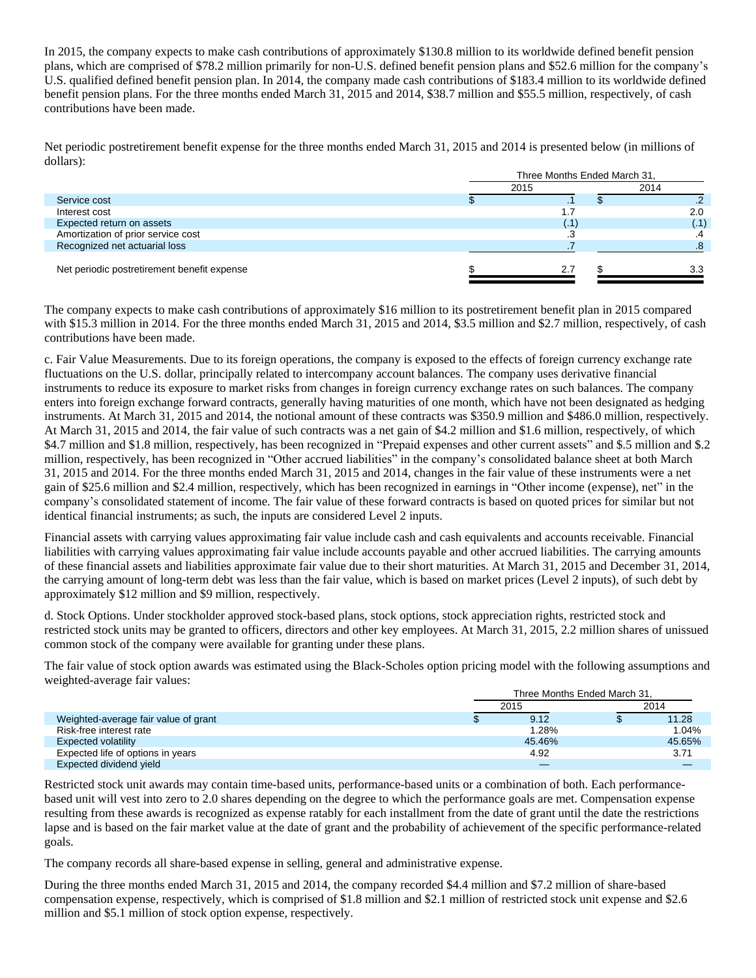In 2015, the company expects to make cash contributions of approximately \$130.8 million to its worldwide defined benefit pension plans, which are comprised of \$78.2 million primarily for non-U.S. defined benefit pension plans and \$52.6 million for the company's U.S. qualified defined benefit pension plan. In 2014, the company made cash contributions of \$183.4 million to its worldwide defined benefit pension plans. For the three months ended March 31, 2015 and 2014, \$38.7 million and \$55.5 million, respectively, of cash contributions have been made.

Net periodic postretirement benefit expense for the three months ended March 31, 2015 and 2014 is presented below (in millions of dollars):

|                                             | Three Months Ended March 31, |      |  |      |
|---------------------------------------------|------------------------------|------|--|------|
|                                             |                              | 2015 |  | 2014 |
| Service cost                                |                              |      |  |      |
| Interest cost                               |                              |      |  | 2.0  |
| Expected return on assets                   |                              | 71 L |  | (.1) |
| Amortization of prior service cost          |                              |      |  |      |
| Recognized net actuarial loss               |                              |      |  |      |
|                                             |                              |      |  |      |
| Net periodic postretirement benefit expense |                              | 2.7  |  | 3.3  |
|                                             |                              |      |  |      |

The company expects to make cash contributions of approximately \$16 million to its postretirement benefit plan in 2015 compared with \$15.3 million in 2014. For the three months ended March 31, 2015 and 2014, \$3.5 million and \$2.7 million, respectively, of cash contributions have been made.

c. Fair Value Measurements. Due to its foreign operations, the company is exposed to the effects of foreign currency exchange rate fluctuations on the U.S. dollar, principally related to intercompany account balances. The company uses derivative financial instruments to reduce its exposure to market risks from changes in foreign currency exchange rates on such balances. The company enters into foreign exchange forward contracts, generally having maturities of one month, which have not been designated as hedging instruments. At March 31, 2015 and 2014, the notional amount of these contracts was \$350.9 million and \$486.0 million, respectively. At March 31, 2015 and 2014, the fair value of such contracts was a net gain of \$4.2 million and \$1.6 million, respectively, of which \$4.7 million and \$1.8 million, respectively, has been recognized in "Prepaid expenses and other current assets" and \$.5 million and \$.2 million, respectively, has been recognized in "Other accrued liabilities" in the company's consolidated balance sheet at both March 31, 2015 and 2014. For the three months ended March 31, 2015 and 2014, changes in the fair value of these instruments were a net gain of \$25.6 million and \$2.4 million, respectively, which has been recognized in earnings in "Other income (expense), net" in the company's consolidated statement of income. The fair value of these forward contracts is based on quoted prices for similar but not identical financial instruments; as such, the inputs are considered Level 2 inputs.

Financial assets with carrying values approximating fair value include cash and cash equivalents and accounts receivable. Financial liabilities with carrying values approximating fair value include accounts payable and other accrued liabilities. The carrying amounts of these financial assets and liabilities approximate fair value due to their short maturities. At March 31, 2015 and December 31, 2014, the carrying amount of long-term debt was less than the fair value, which is based on market prices (Level 2 inputs), of such debt by approximately \$12 million and \$9 million, respectively.

d. Stock Options. Under stockholder approved stock-based plans, stock options, stock appreciation rights, restricted stock and restricted stock units may be granted to officers, directors and other key employees. At March 31, 2015, 2.2 million shares of unissued common stock of the company were available for granting under these plans.

The fair value of stock option awards was estimated using the Black-Scholes option pricing model with the following assumptions and weighted-average fair values:

|                                      | Three Months Ended March 31. |  |        |
|--------------------------------------|------------------------------|--|--------|
|                                      | 2015                         |  | 2014   |
| Weighted-average fair value of grant | 9.12                         |  | 11.28  |
| Risk-free interest rate              | 1.28%                        |  | 1.04%  |
| <b>Expected volatility</b>           | 45.46%                       |  | 45.65% |
| Expected life of options in years    | 4.92                         |  | 3.71   |
| Expected dividend yield              |                              |  |        |

Restricted stock unit awards may contain time-based units, performance-based units or a combination of both. Each performancebased unit will vest into zero to 2.0 shares depending on the degree to which the performance goals are met. Compensation expense resulting from these awards is recognized as expense ratably for each installment from the date of grant until the date the restrictions lapse and is based on the fair market value at the date of grant and the probability of achievement of the specific performance-related goals.

The company records all share-based expense in selling, general and administrative expense.

During the three months ended March 31, 2015 and 2014, the company recorded \$4.4 million and \$7.2 million of share-based compensation expense, respectively, which is comprised of \$1.8 million and \$2.1 million of restricted stock unit expense and \$2.6 million and \$5.1 million of stock option expense, respectively.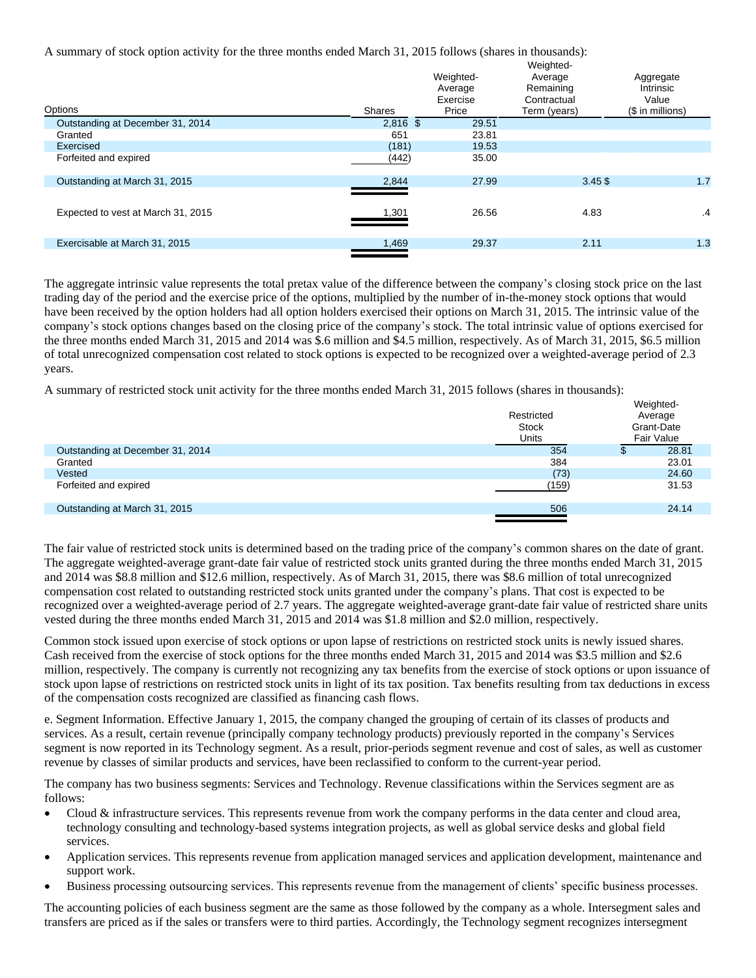A summary of stock option activity for the three months ended March 31, 2015 follows (shares in thousands): Weighted-

| Options                            | Shares     | Weighted-<br>Average<br>Exercise<br>Price | vvciyi ilcu-<br>Average<br>Remaining<br>Contractual<br>Term (years) | Aggregate<br>Intrinsic<br>Value<br>(\$ in millions) |    |
|------------------------------------|------------|-------------------------------------------|---------------------------------------------------------------------|-----------------------------------------------------|----|
| Outstanding at December 31, 2014   | $2,816$ \$ | 29.51                                     |                                                                     |                                                     |    |
| Granted                            | 651        | 23.81                                     |                                                                     |                                                     |    |
| Exercised                          | (181)      | 19.53                                     |                                                                     |                                                     |    |
| Forfeited and expired              | (442)      | 35.00                                     |                                                                     |                                                     |    |
| Outstanding at March 31, 2015      | 2,844      | 27.99                                     | $3.45$ \$                                                           | 1.7                                                 |    |
| Expected to vest at March 31, 2015 | 1,301      | 26.56                                     | 4.83                                                                |                                                     | .4 |
| Exercisable at March 31, 2015      | 1,469      | 29.37                                     | 2.11                                                                | 1.3                                                 |    |
|                                    |            |                                           |                                                                     |                                                     |    |

The aggregate intrinsic value represents the total pretax value of the difference between the company's closing stock price on the last trading day of the period and the exercise price of the options, multiplied by the number of in-the-money stock options that would have been received by the option holders had all option holders exercised their options on March 31, 2015. The intrinsic value of the company's stock options changes based on the closing price of the company's stock. The total intrinsic value of options exercised for the three months ended March 31, 2015 and 2014 was \$.6 million and \$4.5 million, respectively. As of March 31, 2015, \$6.5 million of total unrecognized compensation cost related to stock options is expected to be recognized over a weighted-average period of 2.3 years.

A summary of restricted stock unit activity for the three months ended March 31, 2015 follows (shares in thousands):

|                                  | Restricted<br><b>Stock</b><br>Units | Weighted-<br>Average<br>Grant-Date<br>Fair Value |
|----------------------------------|-------------------------------------|--------------------------------------------------|
| Outstanding at December 31, 2014 | 354                                 | 28.81                                            |
| Granted                          | 384                                 | 23.01                                            |
| Vested                           | (73)                                | 24.60                                            |
| Forfeited and expired            | (159)                               | 31.53                                            |
| Outstanding at March 31, 2015    | 506                                 | 24.14                                            |
|                                  |                                     |                                                  |

The fair value of restricted stock units is determined based on the trading price of the company's common shares on the date of grant. The aggregate weighted-average grant-date fair value of restricted stock units granted during the three months ended March 31, 2015 and 2014 was \$8.8 million and \$12.6 million, respectively. As of March 31, 2015, there was \$8.6 million of total unrecognized compensation cost related to outstanding restricted stock units granted under the company's plans. That cost is expected to be recognized over a weighted-average period of 2.7 years. The aggregate weighted-average grant-date fair value of restricted share units vested during the three months ended March 31, 2015 and 2014 was \$1.8 million and \$2.0 million, respectively.

Common stock issued upon exercise of stock options or upon lapse of restrictions on restricted stock units is newly issued shares. Cash received from the exercise of stock options for the three months ended March 31, 2015 and 2014 was \$3.5 million and \$2.6 million, respectively. The company is currently not recognizing any tax benefits from the exercise of stock options or upon issuance of stock upon lapse of restrictions on restricted stock units in light of its tax position. Tax benefits resulting from tax deductions in excess of the compensation costs recognized are classified as financing cash flows.

e. Segment Information. Effective January 1, 2015, the company changed the grouping of certain of its classes of products and services. As a result, certain revenue (principally company technology products) previously reported in the company's Services segment is now reported in its Technology segment. As a result, prior-periods segment revenue and cost of sales, as well as customer revenue by classes of similar products and services, have been reclassified to conform to the current-year period.

The company has two business segments: Services and Technology. Revenue classifications within the Services segment are as follows:

- Cloud & infrastructure services. This represents revenue from work the company performs in the data center and cloud area, technology consulting and technology-based systems integration projects, as well as global service desks and global field services.
- Application services. This represents revenue from application managed services and application development, maintenance and support work.
- Business processing outsourcing services. This represents revenue from the management of clients' specific business processes.

The accounting policies of each business segment are the same as those followed by the company as a whole. Intersegment sales and transfers are priced as if the sales or transfers were to third parties. Accordingly, the Technology segment recognizes intersegment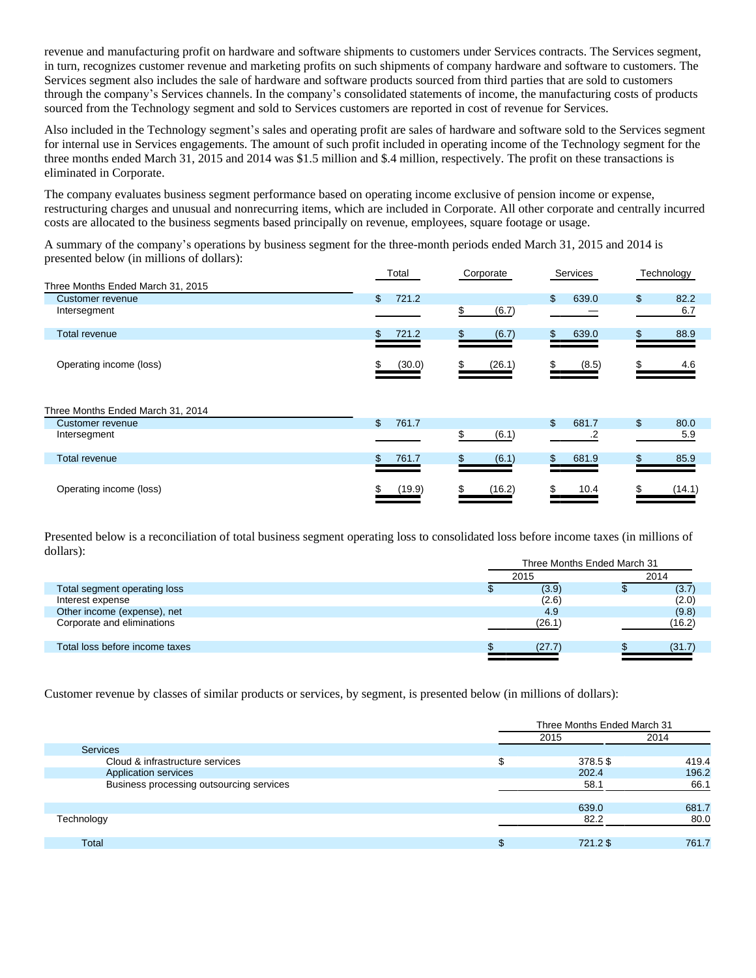revenue and manufacturing profit on hardware and software shipments to customers under Services contracts. The Services segment, in turn, recognizes customer revenue and marketing profits on such shipments of company hardware and software to customers. The Services segment also includes the sale of hardware and software products sourced from third parties that are sold to customers through the company's Services channels. In the company's consolidated statements of income, the manufacturing costs of products sourced from the Technology segment and sold to Services customers are reported in cost of revenue for Services.

Also included in the Technology segment's sales and operating profit are sales of hardware and software sold to the Services segment for internal use in Services engagements. The amount of such profit included in operating income of the Technology segment for the three months ended March 31, 2015 and 2014 was \$1.5 million and \$.4 million, respectively. The profit on these transactions is eliminated in Corporate.

The company evaluates business segment performance based on operating income exclusive of pension income or expense, restructuring charges and unusual and nonrecurring items, which are included in Corporate. All other corporate and centrally incurred costs are allocated to the business segments based principally on revenue, employees, square footage or usage.

A summary of the company's operations by business segment for the three-month periods ended March 31, 2015 and 2014 is presented below (in millions of dollars):

|                                   | Total       | Corporate    | Services     | Technology |
|-----------------------------------|-------------|--------------|--------------|------------|
| Three Months Ended March 31, 2015 |             |              |              |            |
| Customer revenue                  | \$<br>721.2 |              | \$<br>639.0  | \$<br>82.2 |
| Intersegment                      |             | (6.7)<br>\$. |              | 6.7        |
| Total revenue                     | 721.2       | (6.7)        | 639.0<br>\$. | 88.9       |
| Operating income (loss)           | (30.0)      | (26.1)       | (8.5)        | 4.6        |
| Three Months Ended March 31, 2014 |             |              |              |            |
| <b>Customer revenue</b>           | \$<br>761.7 | \$.          | \$<br>681.7  | \$<br>80.0 |
| Intersegment                      |             | (6.1)        | .2           | 5.9        |
| Total revenue                     | 761.7       | (6.1)        | 681.9        | 85.9       |
|                                   |             |              |              |            |
| Operating income (loss)           | (19.9)      | (16.2)       | 10.4         | (14.1)     |

Presented below is a reconciliation of total business segment operating loss to consolidated loss before income taxes (in millions of dollars):

|                                | Three Months Ended March 31 |  |        |  |  |
|--------------------------------|-----------------------------|--|--------|--|--|
|                                | 2015                        |  | 2014   |  |  |
| Total segment operating loss   | (3.9)                       |  | (3.7)  |  |  |
| Interest expense               | (2.6)                       |  | (2.0)  |  |  |
| Other income (expense), net    | 4.9                         |  | (9.8)  |  |  |
| Corporate and eliminations     | (26.1)                      |  | (16.2) |  |  |
| Total loss before income taxes | (27.7)                      |  | (31.7) |  |  |
|                                |                             |  |        |  |  |

Customer revenue by classes of similar products or services, by segment, is presented below (in millions of dollars):

|                                          |         | Three Months Ended March 31 |  |  |
|------------------------------------------|---------|-----------------------------|--|--|
|                                          | 2015    | 2014                        |  |  |
| <b>Services</b>                          |         |                             |  |  |
| Cloud & infrastructure services          | 378.5\$ | 419.4                       |  |  |
| Application services                     | 202.4   | 196.2                       |  |  |
| Business processing outsourcing services | 58.1    | 66.1                        |  |  |
|                                          |         |                             |  |  |
|                                          | 639.0   | 681.7                       |  |  |
| Technology                               | 82.2    | 80.0                        |  |  |
|                                          |         |                             |  |  |
| Total                                    | 721.2\$ | 761.7                       |  |  |
|                                          |         |                             |  |  |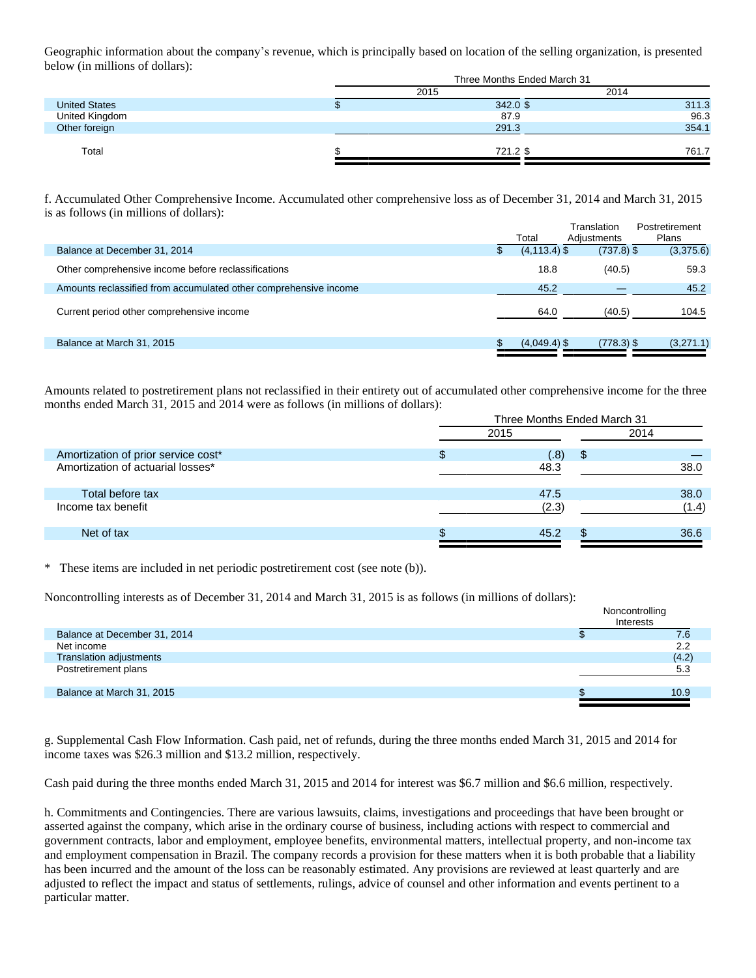Geographic information about the company's revenue, which is principally based on location of the selling organization, is presented below (in millions of dollars):

|                      | Three Months Ended March 31 |          |       |  |  |  |  |
|----------------------|-----------------------------|----------|-------|--|--|--|--|
|                      |                             | 2015     | 2014  |  |  |  |  |
| <b>United States</b> |                             | 342.0 \$ | 311.3 |  |  |  |  |
| United Kingdom       |                             | 87.9     | 96.3  |  |  |  |  |
| Other foreign        |                             | 291.3    | 354.1 |  |  |  |  |
| Total                |                             | 721.2 \$ | 761.7 |  |  |  |  |

f. Accumulated Other Comprehensive Income. Accumulated other comprehensive loss as of December 31, 2014 and March 31, 2015 is as follows (in millions of dollars):

|                                                                  | Total           | Translation<br>Adiustments | Postretirement<br><b>Plans</b> |
|------------------------------------------------------------------|-----------------|----------------------------|--------------------------------|
| Balance at December 31, 2014                                     | $(4, 113.4)$ \$ | $(737.8)$ \$               | (3,375.6)                      |
| Other comprehensive income before reclassifications              | 18.8            | (40.5)                     | 59.3                           |
| Amounts reclassified from accumulated other comprehensive income | 45.2            |                            | 45.2                           |
| Current period other comprehensive income                        | 64.0            | (40.5)                     | 104.5                          |
| Balance at March 31, 2015                                        | $(4,049.4)$ \$  | $(778.3)$ \$               | (3,271.1)                      |

Amounts related to postretirement plans not reclassified in their entirety out of accumulated other comprehensive income for the three months ended March 31, 2015 and 2014 were as follows (in millions of dollars):

|                                     | Three Months Ended March 31 |       |      |       |  |  |  |  |
|-------------------------------------|-----------------------------|-------|------|-------|--|--|--|--|
|                                     | 2015                        |       |      | 2014  |  |  |  |  |
| Amortization of prior service cost* | \$                          | (8)   | - \$ |       |  |  |  |  |
| Amortization of actuarial losses*   |                             | 48.3  |      | 38.0  |  |  |  |  |
| Total before tax                    |                             | 47.5  |      | 38.0  |  |  |  |  |
| Income tax benefit                  |                             | (2.3) |      | (1.4) |  |  |  |  |
| Net of tax                          |                             | 45.2  |      | 36.6  |  |  |  |  |
|                                     |                             |       |      |       |  |  |  |  |

\* These items are included in net periodic postretirement cost (see note (b)).

Noncontrolling interests as of December 31, 2014 and March 31, 2015 is as follows (in millions of dollars):

|                                | Noncontrolling<br>Interests |
|--------------------------------|-----------------------------|
| Balance at December 31, 2014   | 7.6                         |
| Net income                     | 2.2                         |
| <b>Translation adjustments</b> | (4.2)                       |
| Postretirement plans           | 5.3                         |
| Balance at March 31, 2015      | 10.9                        |
|                                |                             |

g. Supplemental Cash Flow Information. Cash paid, net of refunds, during the three months ended March 31, 2015 and 2014 for income taxes was \$26.3 million and \$13.2 million, respectively.

Cash paid during the three months ended March 31, 2015 and 2014 for interest was \$6.7 million and \$6.6 million, respectively.

h. Commitments and Contingencies. There are various lawsuits, claims, investigations and proceedings that have been brought or asserted against the company, which arise in the ordinary course of business, including actions with respect to commercial and government contracts, labor and employment, employee benefits, environmental matters, intellectual property, and non-income tax and employment compensation in Brazil. The company records a provision for these matters when it is both probable that a liability has been incurred and the amount of the loss can be reasonably estimated. Any provisions are reviewed at least quarterly and are adjusted to reflect the impact and status of settlements, rulings, advice of counsel and other information and events pertinent to a particular matter.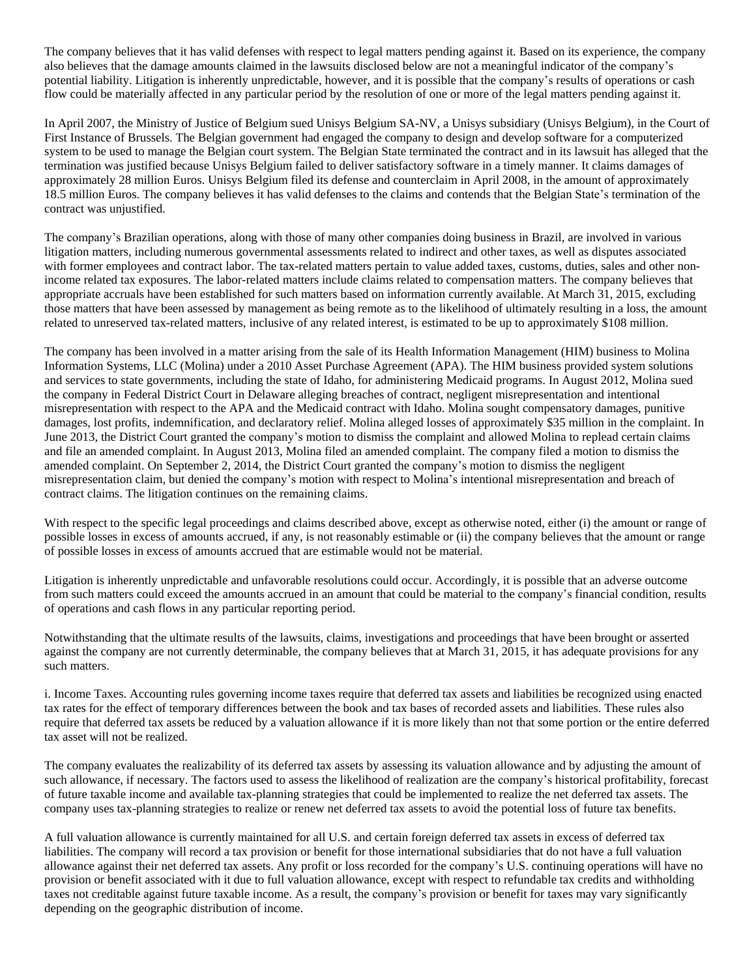The company believes that it has valid defenses with respect to legal matters pending against it. Based on its experience, the company also believes that the damage amounts claimed in the lawsuits disclosed below are not a meaningful indicator of the company's potential liability. Litigation is inherently unpredictable, however, and it is possible that the company's results of operations or cash flow could be materially affected in any particular period by the resolution of one or more of the legal matters pending against it.

In April 2007, the Ministry of Justice of Belgium sued Unisys Belgium SA-NV, a Unisys subsidiary (Unisys Belgium), in the Court of First Instance of Brussels. The Belgian government had engaged the company to design and develop software for a computerized system to be used to manage the Belgian court system. The Belgian State terminated the contract and in its lawsuit has alleged that the termination was justified because Unisys Belgium failed to deliver satisfactory software in a timely manner. It claims damages of approximately 28 million Euros. Unisys Belgium filed its defense and counterclaim in April 2008, in the amount of approximately 18.5 million Euros. The company believes it has valid defenses to the claims and contends that the Belgian State's termination of the contract was unjustified.

The company's Brazilian operations, along with those of many other companies doing business in Brazil, are involved in various litigation matters, including numerous governmental assessments related to indirect and other taxes, as well as disputes associated with former employees and contract labor. The tax-related matters pertain to value added taxes, customs, duties, sales and other nonincome related tax exposures. The labor-related matters include claims related to compensation matters. The company believes that appropriate accruals have been established for such matters based on information currently available. At March 31, 2015, excluding those matters that have been assessed by management as being remote as to the likelihood of ultimately resulting in a loss, the amount related to unreserved tax-related matters, inclusive of any related interest, is estimated to be up to approximately \$108 million.

The company has been involved in a matter arising from the sale of its Health Information Management (HIM) business to Molina Information Systems, LLC (Molina) under a 2010 Asset Purchase Agreement (APA). The HIM business provided system solutions and services to state governments, including the state of Idaho, for administering Medicaid programs. In August 2012, Molina sued the company in Federal District Court in Delaware alleging breaches of contract, negligent misrepresentation and intentional misrepresentation with respect to the APA and the Medicaid contract with Idaho. Molina sought compensatory damages, punitive damages, lost profits, indemnification, and declaratory relief. Molina alleged losses of approximately \$35 million in the complaint. In June 2013, the District Court granted the company's motion to dismiss the complaint and allowed Molina to replead certain claims and file an amended complaint. In August 2013, Molina filed an amended complaint. The company filed a motion to dismiss the amended complaint. On September 2, 2014, the District Court granted the company's motion to dismiss the negligent misrepresentation claim, but denied the company's motion with respect to Molina's intentional misrepresentation and breach of contract claims. The litigation continues on the remaining claims.

With respect to the specific legal proceedings and claims described above, except as otherwise noted, either (i) the amount or range of possible losses in excess of amounts accrued, if any, is not reasonably estimable or (ii) the company believes that the amount or range of possible losses in excess of amounts accrued that are estimable would not be material.

Litigation is inherently unpredictable and unfavorable resolutions could occur. Accordingly, it is possible that an adverse outcome from such matters could exceed the amounts accrued in an amount that could be material to the company's financial condition, results of operations and cash flows in any particular reporting period.

Notwithstanding that the ultimate results of the lawsuits, claims, investigations and proceedings that have been brought or asserted against the company are not currently determinable, the company believes that at March 31, 2015, it has adequate provisions for any such matters.

i. Income Taxes. Accounting rules governing income taxes require that deferred tax assets and liabilities be recognized using enacted tax rates for the effect of temporary differences between the book and tax bases of recorded assets and liabilities. These rules also require that deferred tax assets be reduced by a valuation allowance if it is more likely than not that some portion or the entire deferred tax asset will not be realized.

The company evaluates the realizability of its deferred tax assets by assessing its valuation allowance and by adjusting the amount of such allowance, if necessary. The factors used to assess the likelihood of realization are the company's historical profitability, forecast of future taxable income and available tax-planning strategies that could be implemented to realize the net deferred tax assets. The company uses tax-planning strategies to realize or renew net deferred tax assets to avoid the potential loss of future tax benefits.

A full valuation allowance is currently maintained for all U.S. and certain foreign deferred tax assets in excess of deferred tax liabilities. The company will record a tax provision or benefit for those international subsidiaries that do not have a full valuation allowance against their net deferred tax assets. Any profit or loss recorded for the company's U.S. continuing operations will have no provision or benefit associated with it due to full valuation allowance, except with respect to refundable tax credits and withholding taxes not creditable against future taxable income. As a result, the company's provision or benefit for taxes may vary significantly depending on the geographic distribution of income.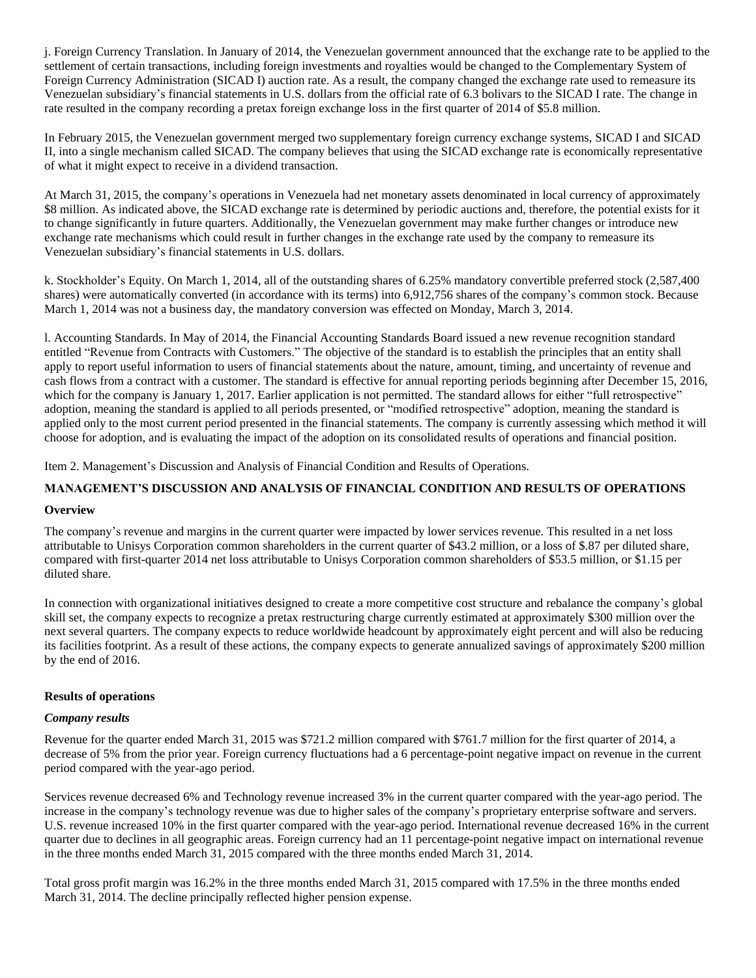j. Foreign Currency Translation. In January of 2014, the Venezuelan government announced that the exchange rate to be applied to the settlement of certain transactions, including foreign investments and royalties would be changed to the Complementary System of Foreign Currency Administration (SICAD I) auction rate. As a result, the company changed the exchange rate used to remeasure its Venezuelan subsidiary's financial statements in U.S. dollars from the official rate of 6.3 bolivars to the SICAD I rate. The change in rate resulted in the company recording a pretax foreign exchange loss in the first quarter of 2014 of \$5.8 million.

In February 2015, the Venezuelan government merged two supplementary foreign currency exchange systems, SICAD I and SICAD II, into a single mechanism called SICAD. The company believes that using the SICAD exchange rate is economically representative of what it might expect to receive in a dividend transaction.

At March 31, 2015, the company's operations in Venezuela had net monetary assets denominated in local currency of approximately \$8 million. As indicated above, the SICAD exchange rate is determined by periodic auctions and, therefore, the potential exists for it to change significantly in future quarters. Additionally, the Venezuelan government may make further changes or introduce new exchange rate mechanisms which could result in further changes in the exchange rate used by the company to remeasure its Venezuelan subsidiary's financial statements in U.S. dollars.

k. Stockholder's Equity. On March 1, 2014, all of the outstanding shares of 6.25% mandatory convertible preferred stock (2,587,400 shares) were automatically converted (in accordance with its terms) into 6,912,756 shares of the company's common stock. Because March 1, 2014 was not a business day, the mandatory conversion was effected on Monday, March 3, 2014.

l. Accounting Standards. In May of 2014, the Financial Accounting Standards Board issued a new revenue recognition standard entitled "Revenue from Contracts with Customers." The objective of the standard is to establish the principles that an entity shall apply to report useful information to users of financial statements about the nature, amount, timing, and uncertainty of revenue and cash flows from a contract with a customer. The standard is effective for annual reporting periods beginning after December 15, 2016, which for the company is January 1, 2017. Earlier application is not permitted. The standard allows for either "full retrospective" adoption, meaning the standard is applied to all periods presented, or "modified retrospective" adoption, meaning the standard is applied only to the most current period presented in the financial statements. The company is currently assessing which method it will choose for adoption, and is evaluating the impact of the adoption on its consolidated results of operations and financial position.

Item 2. Management's Discussion and Analysis of Financial Condition and Results of Operations.

#### **MANAGEMENT'S DISCUSSION AND ANALYSIS OF FINANCIAL CONDITION AND RESULTS OF OPERATIONS**

#### **Overview**

The company's revenue and margins in the current quarter were impacted by lower services revenue. This resulted in a net loss attributable to Unisys Corporation common shareholders in the current quarter of \$43.2 million, or a loss of \$.87 per diluted share, compared with first-quarter 2014 net loss attributable to Unisys Corporation common shareholders of \$53.5 million, or \$1.15 per diluted share.

In connection with organizational initiatives designed to create a more competitive cost structure and rebalance the company's global skill set, the company expects to recognize a pretax restructuring charge currently estimated at approximately \$300 million over the next several quarters. The company expects to reduce worldwide headcount by approximately eight percent and will also be reducing its facilities footprint. As a result of these actions, the company expects to generate annualized savings of approximately \$200 million by the end of 2016.

#### **Results of operations**

#### *Company results*

Revenue for the quarter ended March 31, 2015 was \$721.2 million compared with \$761.7 million for the first quarter of 2014, a decrease of 5% from the prior year. Foreign currency fluctuations had a 6 percentage-point negative impact on revenue in the current period compared with the year-ago period.

Services revenue decreased 6% and Technology revenue increased 3% in the current quarter compared with the year-ago period. The increase in the company's technology revenue was due to higher sales of the company's proprietary enterprise software and servers. U.S. revenue increased 10% in the first quarter compared with the year-ago period. International revenue decreased 16% in the current quarter due to declines in all geographic areas. Foreign currency had an 11 percentage-point negative impact on international revenue in the three months ended March 31, 2015 compared with the three months ended March 31, 2014.

Total gross profit margin was 16.2% in the three months ended March 31, 2015 compared with 17.5% in the three months ended March 31, 2014. The decline principally reflected higher pension expense.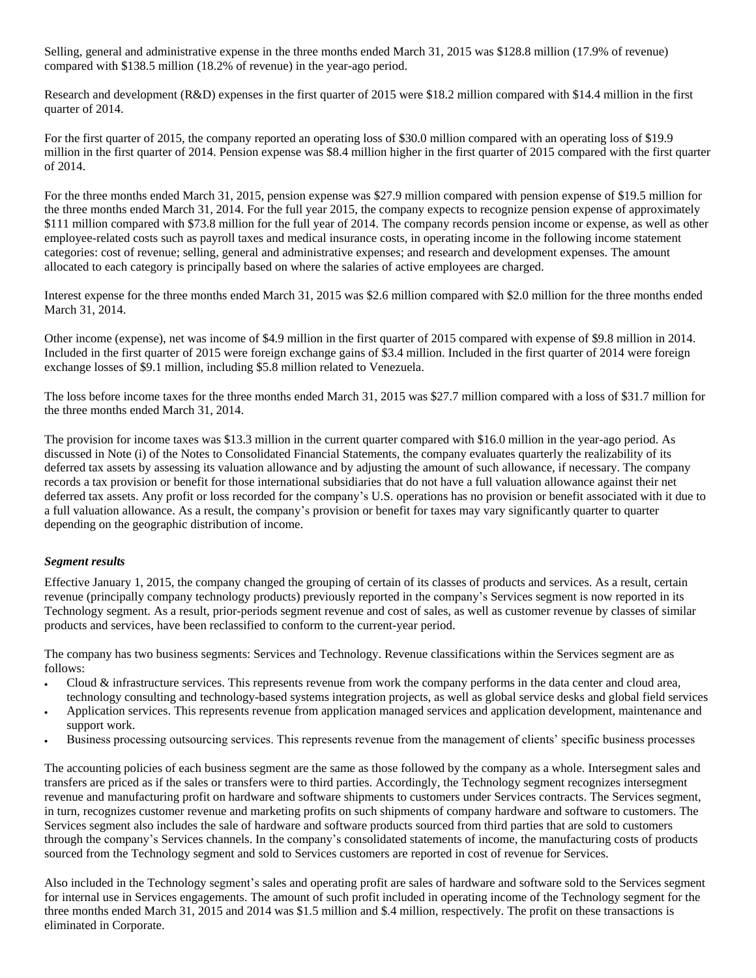Selling, general and administrative expense in the three months ended March 31, 2015 was \$128.8 million (17.9% of revenue) compared with \$138.5 million (18.2% of revenue) in the year-ago period.

Research and development (R&D) expenses in the first quarter of 2015 were \$18.2 million compared with \$14.4 million in the first quarter of 2014.

For the first quarter of 2015, the company reported an operating loss of \$30.0 million compared with an operating loss of \$19.9 million in the first quarter of 2014. Pension expense was \$8.4 million higher in the first quarter of 2015 compared with the first quarter of 2014.

For the three months ended March 31, 2015, pension expense was \$27.9 million compared with pension expense of \$19.5 million for the three months ended March 31, 2014. For the full year 2015, the company expects to recognize pension expense of approximately \$111 million compared with \$73.8 million for the full year of 2014. The company records pension income or expense, as well as other employee-related costs such as payroll taxes and medical insurance costs, in operating income in the following income statement categories: cost of revenue; selling, general and administrative expenses; and research and development expenses. The amount allocated to each category is principally based on where the salaries of active employees are charged.

Interest expense for the three months ended March 31, 2015 was \$2.6 million compared with \$2.0 million for the three months ended March 31, 2014.

Other income (expense), net was income of \$4.9 million in the first quarter of 2015 compared with expense of \$9.8 million in 2014. Included in the first quarter of 2015 were foreign exchange gains of \$3.4 million. Included in the first quarter of 2014 were foreign exchange losses of \$9.1 million, including \$5.8 million related to Venezuela.

The loss before income taxes for the three months ended March 31, 2015 was \$27.7 million compared with a loss of \$31.7 million for the three months ended March 31, 2014.

The provision for income taxes was \$13.3 million in the current quarter compared with \$16.0 million in the year-ago period. As discussed in Note (i) of the Notes to Consolidated Financial Statements, the company evaluates quarterly the realizability of its deferred tax assets by assessing its valuation allowance and by adjusting the amount of such allowance, if necessary. The company records a tax provision or benefit for those international subsidiaries that do not have a full valuation allowance against their net deferred tax assets. Any profit or loss recorded for the company's U.S. operations has no provision or benefit associated with it due to a full valuation allowance. As a result, the company's provision or benefit for taxes may vary significantly quarter to quarter depending on the geographic distribution of income.

#### *Segment results*

Effective January 1, 2015, the company changed the grouping of certain of its classes of products and services. As a result, certain revenue (principally company technology products) previously reported in the company's Services segment is now reported in its Technology segment. As a result, prior-periods segment revenue and cost of sales, as well as customer revenue by classes of similar products and services, have been reclassified to conform to the current-year period.

The company has two business segments: Services and Technology. Revenue classifications within the Services segment are as follows:

- Cloud & infrastructure services. This represents revenue from work the company performs in the data center and cloud area, technology consulting and technology-based systems integration projects, as well as global service desks and global field services
- Application services. This represents revenue from application managed services and application development, maintenance and support work.
- Business processing outsourcing services. This represents revenue from the management of clients' specific business processes

The accounting policies of each business segment are the same as those followed by the company as a whole. Intersegment sales and transfers are priced as if the sales or transfers were to third parties. Accordingly, the Technology segment recognizes intersegment revenue and manufacturing profit on hardware and software shipments to customers under Services contracts. The Services segment, in turn, recognizes customer revenue and marketing profits on such shipments of company hardware and software to customers. The Services segment also includes the sale of hardware and software products sourced from third parties that are sold to customers through the company's Services channels. In the company's consolidated statements of income, the manufacturing costs of products sourced from the Technology segment and sold to Services customers are reported in cost of revenue for Services.

Also included in the Technology segment's sales and operating profit are sales of hardware and software sold to the Services segment for internal use in Services engagements. The amount of such profit included in operating income of the Technology segment for the three months ended March 31, 2015 and 2014 was \$1.5 million and \$.4 million, respectively. The profit on these transactions is eliminated in Corporate.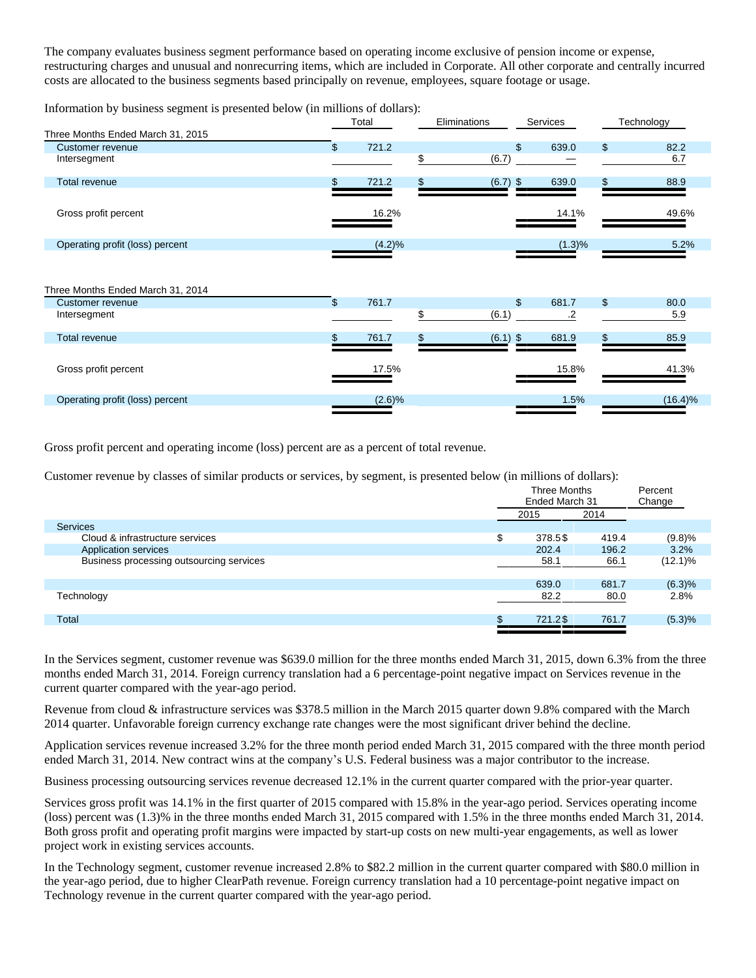The company evaluates business segment performance based on operating income exclusive of pension income or expense, restructuring charges and unusual and nonrecurring items, which are included in Corporate. All other corporate and centrally incurred costs are allocated to the business segments based principally on revenue, employees, square footage or usage.

Information by business segment is presented below (in millions of dollars):

| Three Months Ended March 31, 2015<br>\$<br>721.2<br>\$<br>639.0<br>\$<br>82.2<br>Customer revenue<br>\$<br>(6.7)<br>6.7<br>Intersegment<br>639.0<br><b>Total revenue</b><br>721.2<br>\$<br>$(6.7)$ \$<br>88.9<br>\$<br>\$<br>Gross profit percent<br>16.2%<br>14.1%<br>49.6%<br>Operating profit (loss) percent<br>(4.2)%<br>(1.3)%<br>5.2%<br>Three Months Ended March 31, 2014<br>\$<br>\$<br>$\mathfrak{L}$<br>761.7<br>681.7<br>80.0<br>Customer revenue<br>\$<br>(6.1)<br>5.9<br>.2<br>Intersegment<br>$(6.1)$ \$<br><b>Total revenue</b><br>761.7<br>681.9<br>85.9<br>Gross profit percent<br>17.5%<br>15.8%<br>41.3%<br>Operating profit (loss) percent<br>(2.6)%<br>1.5%<br>$(16.4)\%$ |  | Total | Eliminations |  | Services<br>Technology |  |  |
|------------------------------------------------------------------------------------------------------------------------------------------------------------------------------------------------------------------------------------------------------------------------------------------------------------------------------------------------------------------------------------------------------------------------------------------------------------------------------------------------------------------------------------------------------------------------------------------------------------------------------------------------------------------------------------------------|--|-------|--------------|--|------------------------|--|--|
|                                                                                                                                                                                                                                                                                                                                                                                                                                                                                                                                                                                                                                                                                                |  |       |              |  |                        |  |  |
|                                                                                                                                                                                                                                                                                                                                                                                                                                                                                                                                                                                                                                                                                                |  |       |              |  |                        |  |  |
|                                                                                                                                                                                                                                                                                                                                                                                                                                                                                                                                                                                                                                                                                                |  |       |              |  |                        |  |  |
|                                                                                                                                                                                                                                                                                                                                                                                                                                                                                                                                                                                                                                                                                                |  |       |              |  |                        |  |  |
|                                                                                                                                                                                                                                                                                                                                                                                                                                                                                                                                                                                                                                                                                                |  |       |              |  |                        |  |  |
|                                                                                                                                                                                                                                                                                                                                                                                                                                                                                                                                                                                                                                                                                                |  |       |              |  |                        |  |  |
|                                                                                                                                                                                                                                                                                                                                                                                                                                                                                                                                                                                                                                                                                                |  |       |              |  |                        |  |  |
|                                                                                                                                                                                                                                                                                                                                                                                                                                                                                                                                                                                                                                                                                                |  |       |              |  |                        |  |  |
|                                                                                                                                                                                                                                                                                                                                                                                                                                                                                                                                                                                                                                                                                                |  |       |              |  |                        |  |  |
|                                                                                                                                                                                                                                                                                                                                                                                                                                                                                                                                                                                                                                                                                                |  |       |              |  |                        |  |  |
|                                                                                                                                                                                                                                                                                                                                                                                                                                                                                                                                                                                                                                                                                                |  |       |              |  |                        |  |  |
|                                                                                                                                                                                                                                                                                                                                                                                                                                                                                                                                                                                                                                                                                                |  |       |              |  |                        |  |  |

Gross profit percent and operating income (loss) percent are as a percent of total revenue.

Customer revenue by classes of similar products or services, by segment, is presented below (in millions of dollars):

|                                          |         | Three Months<br>Ended March 31 | Percent<br>Change |            |
|------------------------------------------|---------|--------------------------------|-------------------|------------|
|                                          |         | 2014<br>2015                   |                   |            |
| <b>Services</b>                          |         |                                |                   |            |
| Cloud & infrastructure services          | c<br>J. | 378.5\$                        | 419.4             | (9.8)%     |
| Application services                     |         | 202.4                          | 196.2             | 3.2%       |
| Business processing outsourcing services |         | 58.1                           | 66.1              | $(12.1)\%$ |
|                                          |         | 639.0                          | 681.7             | (6.3)%     |
| Technology                               |         | 82.2                           | 80.0              | 2.8%       |
| Total                                    |         | 721.2\$                        | 761.7             | (5.3)%     |
|                                          |         |                                |                   |            |

In the Services segment, customer revenue was \$639.0 million for the three months ended March 31, 2015, down 6.3% from the three months ended March 31, 2014. Foreign currency translation had a 6 percentage-point negative impact on Services revenue in the current quarter compared with the year-ago period.

Revenue from cloud & infrastructure services was \$378.5 million in the March 2015 quarter down 9.8% compared with the March 2014 quarter. Unfavorable foreign currency exchange rate changes were the most significant driver behind the decline.

Application services revenue increased 3.2% for the three month period ended March 31, 2015 compared with the three month period ended March 31, 2014. New contract wins at the company's U.S. Federal business was a major contributor to the increase.

Business processing outsourcing services revenue decreased 12.1% in the current quarter compared with the prior-year quarter.

Services gross profit was 14.1% in the first quarter of 2015 compared with 15.8% in the year-ago period. Services operating income (loss) percent was (1.3)% in the three months ended March 31, 2015 compared with 1.5% in the three months ended March 31, 2014. Both gross profit and operating profit margins were impacted by start-up costs on new multi-year engagements, as well as lower project work in existing services accounts.

In the Technology segment, customer revenue increased 2.8% to \$82.2 million in the current quarter compared with \$80.0 million in the year-ago period, due to higher ClearPath revenue. Foreign currency translation had a 10 percentage-point negative impact on Technology revenue in the current quarter compared with the year-ago period.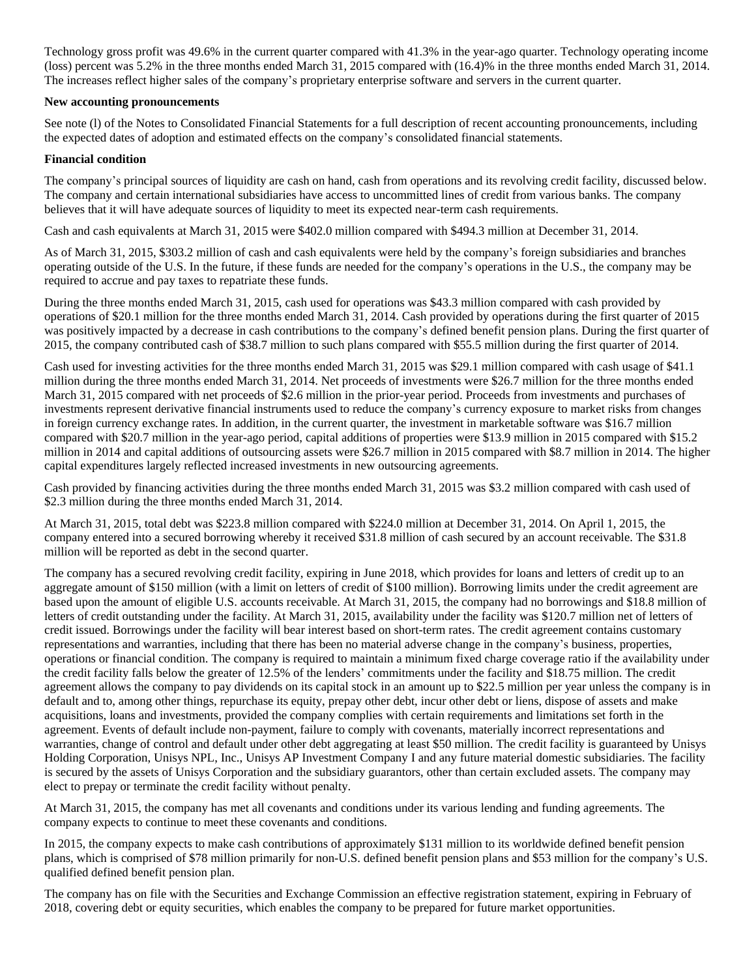Technology gross profit was 49.6% in the current quarter compared with 41.3% in the year-ago quarter. Technology operating income (loss) percent was 5.2% in the three months ended March 31, 2015 compared with (16.4)% in the three months ended March 31, 2014. The increases reflect higher sales of the company's proprietary enterprise software and servers in the current quarter.

#### **New accounting pronouncements**

See note (l) of the Notes to Consolidated Financial Statements for a full description of recent accounting pronouncements, including the expected dates of adoption and estimated effects on the company's consolidated financial statements.

#### **Financial condition**

The company's principal sources of liquidity are cash on hand, cash from operations and its revolving credit facility, discussed below. The company and certain international subsidiaries have access to uncommitted lines of credit from various banks. The company believes that it will have adequate sources of liquidity to meet its expected near-term cash requirements.

Cash and cash equivalents at March 31, 2015 were \$402.0 million compared with \$494.3 million at December 31, 2014.

As of March 31, 2015, \$303.2 million of cash and cash equivalents were held by the company's foreign subsidiaries and branches operating outside of the U.S. In the future, if these funds are needed for the company's operations in the U.S., the company may be required to accrue and pay taxes to repatriate these funds.

During the three months ended March 31, 2015, cash used for operations was \$43.3 million compared with cash provided by operations of \$20.1 million for the three months ended March 31, 2014. Cash provided by operations during the first quarter of 2015 was positively impacted by a decrease in cash contributions to the company's defined benefit pension plans. During the first quarter of 2015, the company contributed cash of \$38.7 million to such plans compared with \$55.5 million during the first quarter of 2014.

Cash used for investing activities for the three months ended March 31, 2015 was \$29.1 million compared with cash usage of \$41.1 million during the three months ended March 31, 2014. Net proceeds of investments were \$26.7 million for the three months ended March 31, 2015 compared with net proceeds of \$2.6 million in the prior-year period. Proceeds from investments and purchases of investments represent derivative financial instruments used to reduce the company's currency exposure to market risks from changes in foreign currency exchange rates. In addition, in the current quarter, the investment in marketable software was \$16.7 million compared with \$20.7 million in the year-ago period, capital additions of properties were \$13.9 million in 2015 compared with \$15.2 million in 2014 and capital additions of outsourcing assets were \$26.7 million in 2015 compared with \$8.7 million in 2014. The higher capital expenditures largely reflected increased investments in new outsourcing agreements.

Cash provided by financing activities during the three months ended March 31, 2015 was \$3.2 million compared with cash used of \$2.3 million during the three months ended March 31, 2014.

At March 31, 2015, total debt was \$223.8 million compared with \$224.0 million at December 31, 2014. On April 1, 2015, the company entered into a secured borrowing whereby it received \$31.8 million of cash secured by an account receivable. The \$31.8 million will be reported as debt in the second quarter.

The company has a secured revolving credit facility, expiring in June 2018, which provides for loans and letters of credit up to an aggregate amount of \$150 million (with a limit on letters of credit of \$100 million). Borrowing limits under the credit agreement are based upon the amount of eligible U.S. accounts receivable. At March 31, 2015, the company had no borrowings and \$18.8 million of letters of credit outstanding under the facility. At March 31, 2015, availability under the facility was \$120.7 million net of letters of credit issued. Borrowings under the facility will bear interest based on short-term rates. The credit agreement contains customary representations and warranties, including that there has been no material adverse change in the company's business, properties, operations or financial condition. The company is required to maintain a minimum fixed charge coverage ratio if the availability under the credit facility falls below the greater of 12.5% of the lenders' commitments under the facility and \$18.75 million. The credit agreement allows the company to pay dividends on its capital stock in an amount up to \$22.5 million per year unless the company is in default and to, among other things, repurchase its equity, prepay other debt, incur other debt or liens, dispose of assets and make acquisitions, loans and investments, provided the company complies with certain requirements and limitations set forth in the agreement. Events of default include non-payment, failure to comply with covenants, materially incorrect representations and warranties, change of control and default under other debt aggregating at least \$50 million. The credit facility is guaranteed by Unisys Holding Corporation, Unisys NPL, Inc., Unisys AP Investment Company I and any future material domestic subsidiaries. The facility is secured by the assets of Unisys Corporation and the subsidiary guarantors, other than certain excluded assets. The company may elect to prepay or terminate the credit facility without penalty.

At March 31, 2015, the company has met all covenants and conditions under its various lending and funding agreements. The company expects to continue to meet these covenants and conditions.

In 2015, the company expects to make cash contributions of approximately \$131 million to its worldwide defined benefit pension plans, which is comprised of \$78 million primarily for non-U.S. defined benefit pension plans and \$53 million for the company's U.S. qualified defined benefit pension plan.

The company has on file with the Securities and Exchange Commission an effective registration statement, expiring in February of 2018, covering debt or equity securities, which enables the company to be prepared for future market opportunities.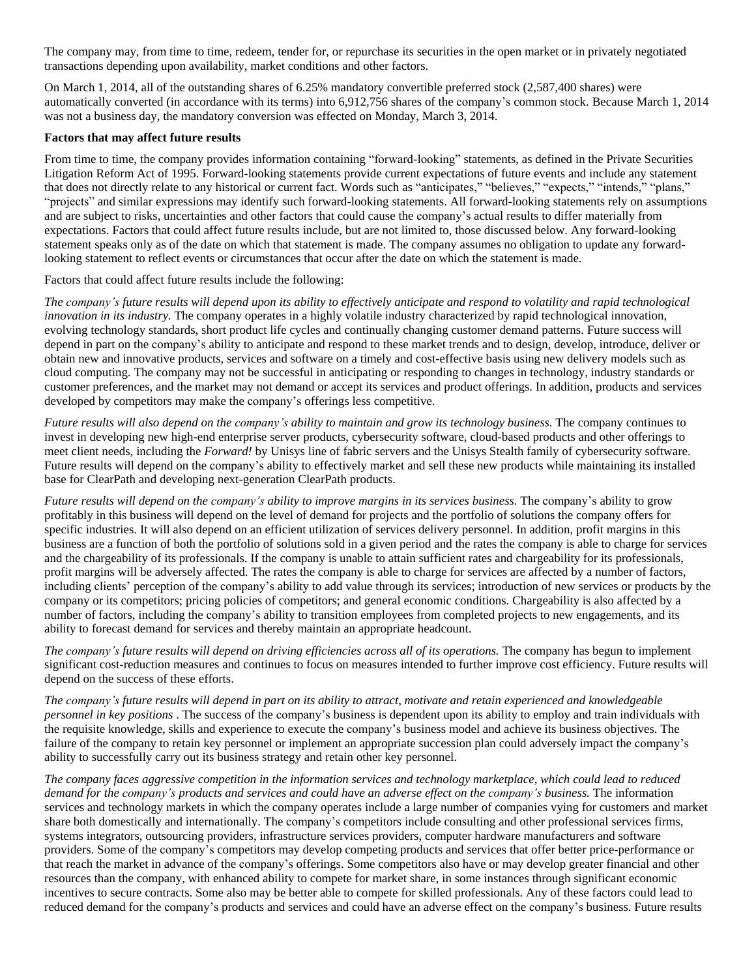The company may, from time to time, redeem, tender for, or repurchase its securities in the open market or in privately negotiated transactions depending upon availability, market conditions and other factors.

On March 1, 2014, all of the outstanding shares of 6.25% mandatory convertible preferred stock (2,587,400 shares) were automatically converted (in accordance with its terms) into 6,912,756 shares of the company's common stock. Because March 1, 2014 was not a business day, the mandatory conversion was effected on Monday, March 3, 2014.

#### **Factors that may affect future results**

From time to time, the company provides information containing "forward-looking" statements, as defined in the Private Securities Litigation Reform Act of 1995. Forward-looking statements provide current expectations of future events and include any statement that does not directly relate to any historical or current fact. Words such as "anticipates," "believes," "expects," "intends," "plans," "projects" and similar expressions may identify such forward-looking statements. All forward-looking statements rely on assumptions and are subject to risks, uncertainties and other factors that could cause the company's actual results to differ materially from expectations. Factors that could affect future results include, but are not limited to, those discussed below. Any forward-looking statement speaks only as of the date on which that statement is made. The company assumes no obligation to update any forwardlooking statement to reflect events or circumstances that occur after the date on which the statement is made.

Factors that could affect future results include the following:

The company's future results will depend upon its ability to effectively anticipate and respond to volatility and rapid technological *innovation in its industry.* The company operates in a highly volatile industry characterized by rapid technological innovation, evolving technology standards, short product life cycles and continually changing customer demand patterns. Future success will depend in part on the company's ability to anticipate and respond to these market trends and to design, develop, introduce, deliver or obtain new and innovative products, services and software on a timely and cost-effective basis using new delivery models such as cloud computing. The company may not be successful in anticipating or responding to changes in technology, industry standards or customer preferences, and the market may not demand or accept its services and product offerings. In addition, products and services developed by competitors may make the company's offerings less competitive.

Future results will also depend on the company's ability to maintain and grow its technology business. The company continues to invest in developing new high-end enterprise server products, cybersecurity software, cloud-based products and other offerings to meet client needs, including the *Forward!* by Unisys line of fabric servers and the Unisys Stealth family of cybersecurity software. Future results will depend on the company's ability to effectively market and sell these new products while maintaining its installed base for ClearPath and developing next-generation ClearPath products.

Future results will depend on the company's ability to improve margins in its services business. The company's ability to grow profitably in this business will depend on the level of demand for projects and the portfolio of solutions the company offers for specific industries. It will also depend on an efficient utilization of services delivery personnel. In addition, profit margins in this business are a function of both the portfolio of solutions sold in a given period and the rates the company is able to charge for services and the chargeability of its professionals. If the company is unable to attain sufficient rates and chargeability for its professionals, profit margins will be adversely affected. The rates the company is able to charge for services are affected by a number of factors, including clients' perception of the company's ability to add value through its services; introduction of new services or products by the company or its competitors; pricing policies of competitors; and general economic conditions. Chargeability is also affected by a number of factors, including the company's ability to transition employees from completed projects to new engagements, and its ability to forecast demand for services and thereby maintain an appropriate headcount.

The company's future results will depend on driving efficiencies across all of its operations. The company has begun to implement significant cost-reduction measures and continues to focus on measures intended to further improve cost efficiency. Future results will depend on the success of these efforts.

The company's future results will depend in part on its ability to attract, motivate and retain experienced and knowledgeable *personnel in key positions* . The success of the company's business is dependent upon its ability to employ and train individuals with the requisite knowledge, skills and experience to execute the company's business model and achieve its business objectives. The failure of the company to retain key personnel or implement an appropriate succession plan could adversely impact the company's ability to successfully carry out its business strategy and retain other key personnel.

The company faces aggressive competition in the information services and technology marketplace, which could lead to reduced demand for the company's products and services and could have an adverse effect on the company's business. The information services and technology markets in which the company operates include a large number of companies vying for customers and market share both domestically and internationally. The company's competitors include consulting and other professional services firms, systems integrators, outsourcing providers, infrastructure services providers, computer hardware manufacturers and software providers. Some of the company's competitors may develop competing products and services that offer better price-performance or that reach the market in advance of the company's offerings. Some competitors also have or may develop greater financial and other resources than the company, with enhanced ability to compete for market share, in some instances through significant economic incentives to secure contracts. Some also may be better able to compete for skilled professionals. Any of these factors could lead to reduced demand for the company's products and services and could have an adverse effect on the company's business. Future results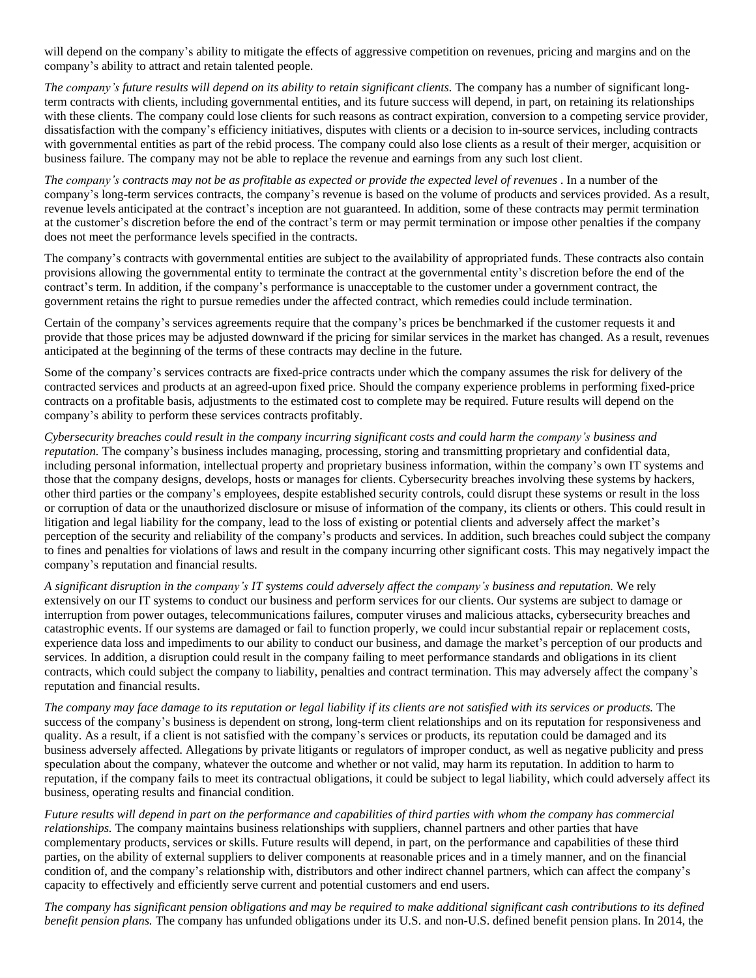will depend on the company's ability to mitigate the effects of aggressive competition on revenues, pricing and margins and on the company's ability to attract and retain talented people.

*The company's future results will depend on its ability to retain significant clients.* The company has a number of significant longterm contracts with clients, including governmental entities, and its future success will depend, in part, on retaining its relationships with these clients. The company could lose clients for such reasons as contract expiration, conversion to a competing service provider, dissatisfaction with the company's efficiency initiatives, disputes with clients or a decision to in-source services, including contracts with governmental entities as part of the rebid process. The company could also lose clients as a result of their merger, acquisition or business failure. The company may not be able to replace the revenue and earnings from any such lost client.

The company's contracts may not be as profitable as expected or provide the expected level of revenues. In a number of the company's long-term services contracts, the company's revenue is based on the volume of products and services provided. As a result, revenue levels anticipated at the contract's inception are not guaranteed. In addition, some of these contracts may permit termination at the customer's discretion before the end of the contract's term or may permit termination or impose other penalties if the company does not meet the performance levels specified in the contracts.

The company's contracts with governmental entities are subject to the availability of appropriated funds. These contracts also contain provisions allowing the governmental entity to terminate the contract at the governmental entity's discretion before the end of the contract's term. In addition, if the company's performance is unacceptable to the customer under a government contract, the government retains the right to pursue remedies under the affected contract, which remedies could include termination.

Certain of the company's services agreements require that the company's prices be benchmarked if the customer requests it and provide that those prices may be adjusted downward if the pricing for similar services in the market has changed. As a result, revenues anticipated at the beginning of the terms of these contracts may decline in the future.

Some of the company's services contracts are fixed-price contracts under which the company assumes the risk for delivery of the contracted services and products at an agreed-upon fixed price. Should the company experience problems in performing fixed-price contracts on a profitable basis, adjustments to the estimated cost to complete may be required. Future results will depend on the company's ability to perform these services contracts profitably.

Cybersecurity breaches could result in the company incurring significant costs and could harm the company's business and *reputation.* The company's business includes managing, processing, storing and transmitting proprietary and confidential data, including personal information, intellectual property and proprietary business information, within the company's own IT systems and those that the company designs, develops, hosts or manages for clients. Cybersecurity breaches involving these systems by hackers, other third parties or the company's employees, despite established security controls, could disrupt these systems or result in the loss or corruption of data or the unauthorized disclosure or misuse of information of the company, its clients or others. This could result in litigation and legal liability for the company, lead to the loss of existing or potential clients and adversely affect the market's perception of the security and reliability of the company's products and services. In addition, such breaches could subject the company to fines and penalties for violations of laws and result in the company incurring other significant costs. This may negatively impact the company's reputation and financial results.

A significant disruption in the company's IT systems could adversely affect the company's business and reputation. We rely extensively on our IT systems to conduct our business and perform services for our clients. Our systems are subject to damage or interruption from power outages, telecommunications failures, computer viruses and malicious attacks, cybersecurity breaches and catastrophic events. If our systems are damaged or fail to function properly, we could incur substantial repair or replacement costs, experience data loss and impediments to our ability to conduct our business, and damage the market's perception of our products and services. In addition, a disruption could result in the company failing to meet performance standards and obligations in its client contracts, which could subject the company to liability, penalties and contract termination. This may adversely affect the company's reputation and financial results.

The company may face damage to its reputation or legal liability if its clients are not satisfied with its services or products. The success of the company's business is dependent on strong, long-term client relationships and on its reputation for responsiveness and quality. As a result, if a client is not satisfied with the company's services or products, its reputation could be damaged and its business adversely affected. Allegations by private litigants or regulators of improper conduct, as well as negative publicity and press speculation about the company, whatever the outcome and whether or not valid, may harm its reputation. In addition to harm to reputation, if the company fails to meet its contractual obligations, it could be subject to legal liability, which could adversely affect its business, operating results and financial condition.

Future results will depend in part on the performance and capabilities of third parties with whom the company has commercial *relationships.* The company maintains business relationships with suppliers, channel partners and other parties that have complementary products, services or skills. Future results will depend, in part, on the performance and capabilities of these third parties, on the ability of external suppliers to deliver components at reasonable prices and in a timely manner, and on the financial condition of, and the company's relationship with, distributors and other indirect channel partners, which can affect the company's capacity to effectively and efficiently serve current and potential customers and end users.

The company has significant pension obligations and may be required to make additional significant cash contributions to its defined *benefit pension plans.* The company has unfunded obligations under its U.S. and non-U.S. defined benefit pension plans. In 2014, the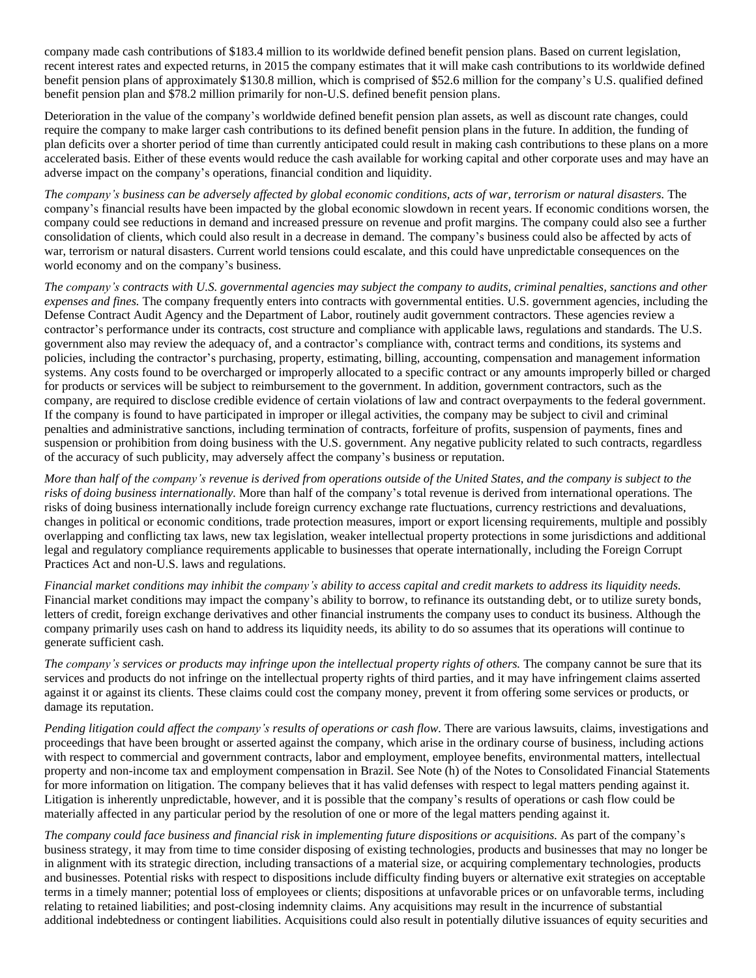company made cash contributions of \$183.4 million to its worldwide defined benefit pension plans. Based on current legislation, recent interest rates and expected returns, in 2015 the company estimates that it will make cash contributions to its worldwide defined benefit pension plans of approximately \$130.8 million, which is comprised of \$52.6 million for the company's U.S. qualified defined benefit pension plan and \$78.2 million primarily for non-U.S. defined benefit pension plans.

Deterioration in the value of the company's worldwide defined benefit pension plan assets, as well as discount rate changes, could require the company to make larger cash contributions to its defined benefit pension plans in the future. In addition, the funding of plan deficits over a shorter period of time than currently anticipated could result in making cash contributions to these plans on a more accelerated basis. Either of these events would reduce the cash available for working capital and other corporate uses and may have an adverse impact on the company's operations, financial condition and liquidity.

The company's business can be adversely affected by global economic conditions, acts of war, terrorism or natural disasters. The company's financial results have been impacted by the global economic slowdown in recent years. If economic conditions worsen, the company could see reductions in demand and increased pressure on revenue and profit margins. The company could also see a further consolidation of clients, which could also result in a decrease in demand. The company's business could also be affected by acts of war, terrorism or natural disasters. Current world tensions could escalate, and this could have unpredictable consequences on the world economy and on the company's business.

The company's contracts with U.S. governmental agencies may subject the company to audits, criminal penalties, sanctions and other *expenses and fines.* The company frequently enters into contracts with governmental entities. U.S. government agencies, including the Defense Contract Audit Agency and the Department of Labor, routinely audit government contractors. These agencies review a contractor's performance under its contracts, cost structure and compliance with applicable laws, regulations and standards. The U.S. government also may review the adequacy of, and a contractor's compliance with, contract terms and conditions, its systems and policies, including the contractor's purchasing, property, estimating, billing, accounting, compensation and management information systems. Any costs found to be overcharged or improperly allocated to a specific contract or any amounts improperly billed or charged for products or services will be subject to reimbursement to the government. In addition, government contractors, such as the company, are required to disclose credible evidence of certain violations of law and contract overpayments to the federal government. If the company is found to have participated in improper or illegal activities, the company may be subject to civil and criminal penalties and administrative sanctions, including termination of contracts, forfeiture of profits, suspension of payments, fines and suspension or prohibition from doing business with the U.S. government. Any negative publicity related to such contracts, regardless of the accuracy of such publicity, may adversely affect the company's business or reputation.

More than half of the company's revenue is derived from operations outside of the United States, and the company is subject to the *risks of doing business internationally.* More than half of the company's total revenue is derived from international operations. The risks of doing business internationally include foreign currency exchange rate fluctuations, currency restrictions and devaluations, changes in political or economic conditions, trade protection measures, import or export licensing requirements, multiple and possibly overlapping and conflicting tax laws, new tax legislation, weaker intellectual property protections in some jurisdictions and additional legal and regulatory compliance requirements applicable to businesses that operate internationally, including the Foreign Corrupt Practices Act and non-U.S. laws and regulations.

Financial market conditions may inhibit the company's ability to access capital and credit markets to address its liquidity needs. Financial market conditions may impact the company's ability to borrow, to refinance its outstanding debt, or to utilize surety bonds, letters of credit, foreign exchange derivatives and other financial instruments the company uses to conduct its business. Although the company primarily uses cash on hand to address its liquidity needs, its ability to do so assumes that its operations will continue to generate sufficient cash.

The company's services or products may infringe upon the intellectual property rights of others. The company cannot be sure that its services and products do not infringe on the intellectual property rights of third parties, and it may have infringement claims asserted against it or against its clients. These claims could cost the company money, prevent it from offering some services or products, or damage its reputation.

*Pending litigation could affect the company's results of operations or cash flow.* There are various lawsuits, claims, investigations and proceedings that have been brought or asserted against the company, which arise in the ordinary course of business, including actions with respect to commercial and government contracts, labor and employment, employee benefits, environmental matters, intellectual property and non-income tax and employment compensation in Brazil. See Note (h) of the Notes to Consolidated Financial Statements for more information on litigation. The company believes that it has valid defenses with respect to legal matters pending against it. Litigation is inherently unpredictable, however, and it is possible that the company's results of operations or cash flow could be materially affected in any particular period by the resolution of one or more of the legal matters pending against it.

The company could face business and financial risk in implementing future dispositions or acquisitions. As part of the company's business strategy, it may from time to time consider disposing of existing technologies, products and businesses that may no longer be in alignment with its strategic direction, including transactions of a material size, or acquiring complementary technologies, products and businesses. Potential risks with respect to dispositions include difficulty finding buyers or alternative exit strategies on acceptable terms in a timely manner; potential loss of employees or clients; dispositions at unfavorable prices or on unfavorable terms, including relating to retained liabilities; and post-closing indemnity claims. Any acquisitions may result in the incurrence of substantial additional indebtedness or contingent liabilities. Acquisitions could also result in potentially dilutive issuances of equity securities and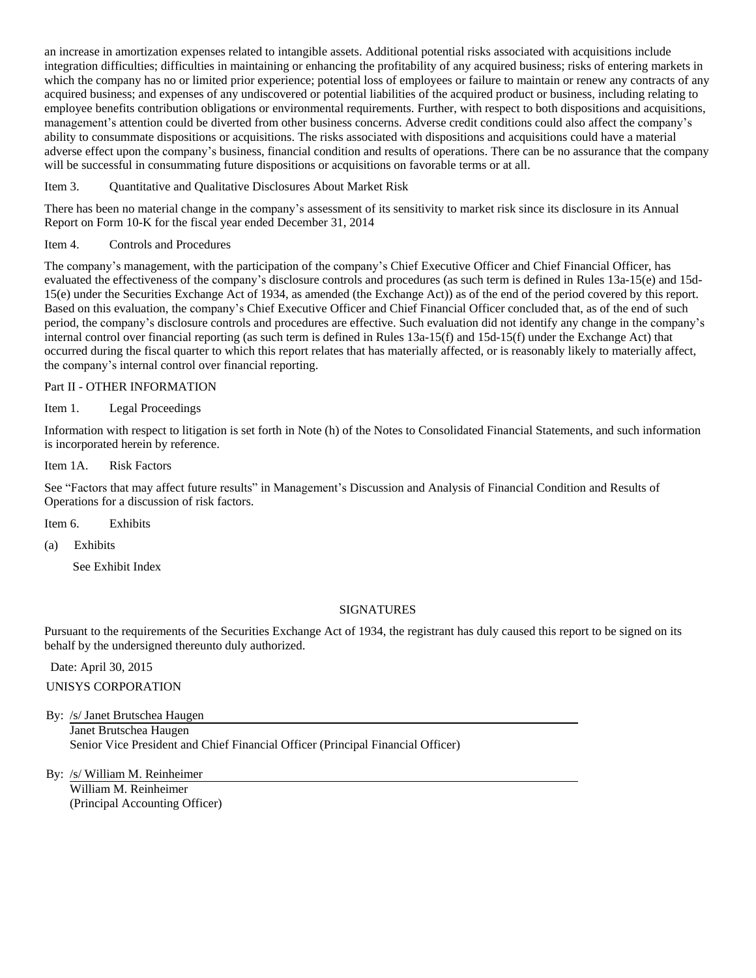an increase in amortization expenses related to intangible assets. Additional potential risks associated with acquisitions include integration difficulties; difficulties in maintaining or enhancing the profitability of any acquired business; risks of entering markets in which the company has no or limited prior experience; potential loss of employees or failure to maintain or renew any contracts of any acquired business; and expenses of any undiscovered or potential liabilities of the acquired product or business, including relating to employee benefits contribution obligations or environmental requirements. Further, with respect to both dispositions and acquisitions, management's attention could be diverted from other business concerns. Adverse credit conditions could also affect the company's ability to consummate dispositions or acquisitions. The risks associated with dispositions and acquisitions could have a material adverse effect upon the company's business, financial condition and results of operations. There can be no assurance that the company will be successful in consummating future dispositions or acquisitions on favorable terms or at all.

Item 3. Quantitative and Qualitative Disclosures About Market Risk

There has been no material change in the company's assessment of its sensitivity to market risk since its disclosure in its Annual Report on Form 10-K for the fiscal year ended December 31, 2014

#### Item 4. Controls and Procedures

The company's management, with the participation of the company's Chief Executive Officer and Chief Financial Officer, has evaluated the effectiveness of the company's disclosure controls and procedures (as such term is defined in Rules 13a-15(e) and 15d-15(e) under the Securities Exchange Act of 1934, as amended (the Exchange Act)) as of the end of the period covered by this report. Based on this evaluation, the company's Chief Executive Officer and Chief Financial Officer concluded that, as of the end of such period, the company's disclosure controls and procedures are effective. Such evaluation did not identify any change in the company's internal control over financial reporting (as such term is defined in Rules 13a-15(f) and 15d-15(f) under the Exchange Act) that occurred during the fiscal quarter to which this report relates that has materially affected, or is reasonably likely to materially affect, the company's internal control over financial reporting.

#### Part II - OTHER INFORMATION

#### Item 1. Legal Proceedings

Information with respect to litigation is set forth in Note (h) of the Notes to Consolidated Financial Statements, and such information is incorporated herein by reference.

#### Item 1A. Risk Factors

See "Factors that may affect future results" in Management's Discussion and Analysis of Financial Condition and Results of Operations for a discussion of risk factors.

Item 6. Exhibits

(a) Exhibits

See Exhibit Index

#### SIGNATURES

Pursuant to the requirements of the Securities Exchange Act of 1934, the registrant has duly caused this report to be signed on its behalf by the undersigned thereunto duly authorized.

Date: April 30, 2015

#### UNISYS CORPORATION

By: /s/ Janet Brutschea Haugen Janet Brutschea Haugen Senior Vice President and Chief Financial Officer (Principal Financial Officer)

By: /s/ William M. Reinheimer William M. Reinheimer (Principal Accounting Officer)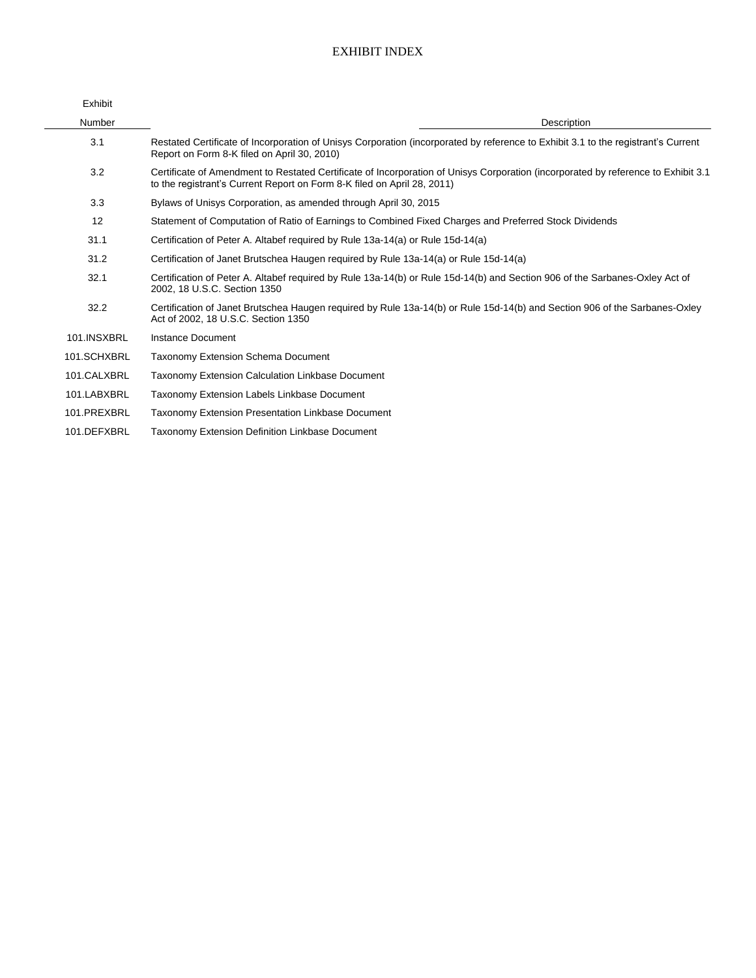### EXHIBIT INDEX

| Exhibit           |                                                                                                                                                                                                              |
|-------------------|--------------------------------------------------------------------------------------------------------------------------------------------------------------------------------------------------------------|
| Number            | Description                                                                                                                                                                                                  |
| 3.1               | Restated Certificate of Incorporation of Unisys Corporation (incorporated by reference to Exhibit 3.1 to the registrant's Current<br>Report on Form 8-K filed on April 30, 2010)                             |
| 3.2               | Certificate of Amendment to Restated Certificate of Incorporation of Unisys Corporation (incorporated by reference to Exhibit 3.1<br>to the registrant's Current Report on Form 8-K filed on April 28, 2011) |
| 3.3               | Bylaws of Unisys Corporation, as amended through April 30, 2015                                                                                                                                              |
| $12 \overline{ }$ | Statement of Computation of Ratio of Earnings to Combined Fixed Charges and Preferred Stock Dividends                                                                                                        |
| 31.1              | Certification of Peter A. Altabef required by Rule 13a-14(a) or Rule 15d-14(a)                                                                                                                               |
| 31.2              | Certification of Janet Brutschea Haugen required by Rule 13a-14(a) or Rule 15d-14(a)                                                                                                                         |
| 32.1              | Certification of Peter A. Altabef required by Rule 13a-14(b) or Rule 15d-14(b) and Section 906 of the Sarbanes-Oxley Act of<br>2002, 18 U.S.C. Section 1350                                                  |
| 32.2              | Certification of Janet Brutschea Haugen required by Rule 13a-14(b) or Rule 15d-14(b) and Section 906 of the Sarbanes-Oxley<br>Act of 2002, 18 U.S.C. Section 1350                                            |
| 101.INSXBRL       | <b>Instance Document</b>                                                                                                                                                                                     |
| 101.SCHXBRL       | Taxonomy Extension Schema Document                                                                                                                                                                           |
| 101.CALXBRL       | Taxonomy Extension Calculation Linkbase Document                                                                                                                                                             |
| 101.LABXBRL       | Taxonomy Extension Labels Linkbase Document                                                                                                                                                                  |
| 101.PREXBRL       | Taxonomy Extension Presentation Linkbase Document                                                                                                                                                            |
| 101.DEFXBRL       | Taxonomy Extension Definition Linkbase Document                                                                                                                                                              |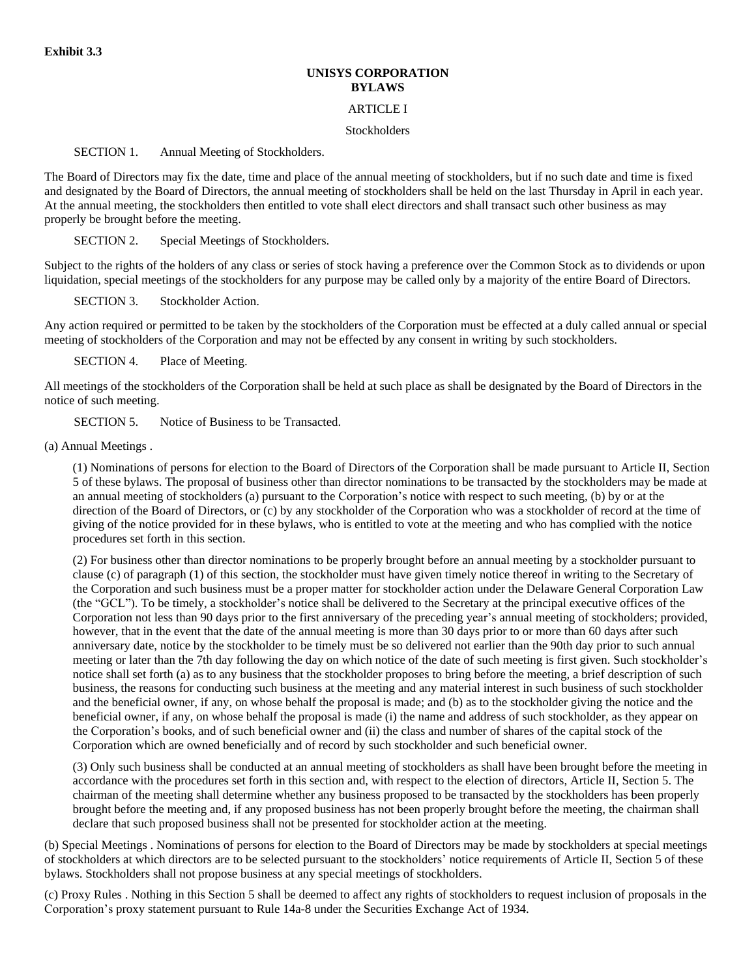## **UNISYS CORPORATION BYLAWS**

## ARTICLE I

#### Stockholders

SECTION 1. Annual Meeting of Stockholders.

The Board of Directors may fix the date, time and place of the annual meeting of stockholders, but if no such date and time is fixed and designated by the Board of Directors, the annual meeting of stockholders shall be held on the last Thursday in April in each year. At the annual meeting, the stockholders then entitled to vote shall elect directors and shall transact such other business as may properly be brought before the meeting.

SECTION 2. Special Meetings of Stockholders.

Subject to the rights of the holders of any class or series of stock having a preference over the Common Stock as to dividends or upon liquidation, special meetings of the stockholders for any purpose may be called only by a majority of the entire Board of Directors.

SECTION 3. Stockholder Action.

Any action required or permitted to be taken by the stockholders of the Corporation must be effected at a duly called annual or special meeting of stockholders of the Corporation and may not be effected by any consent in writing by such stockholders.

SECTION 4. Place of Meeting.

All meetings of the stockholders of the Corporation shall be held at such place as shall be designated by the Board of Directors in the notice of such meeting.

SECTION 5. Notice of Business to be Transacted.

(a) Annual Meetings .

(1) Nominations of persons for election to the Board of Directors of the Corporation shall be made pursuant to Article II, Section 5 of these bylaws. The proposal of business other than director nominations to be transacted by the stockholders may be made at an annual meeting of stockholders (a) pursuant to the Corporation's notice with respect to such meeting, (b) by or at the direction of the Board of Directors, or (c) by any stockholder of the Corporation who was a stockholder of record at the time of giving of the notice provided for in these bylaws, who is entitled to vote at the meeting and who has complied with the notice procedures set forth in this section.

(2) For business other than director nominations to be properly brought before an annual meeting by a stockholder pursuant to clause (c) of paragraph (1) of this section, the stockholder must have given timely notice thereof in writing to the Secretary of the Corporation and such business must be a proper matter for stockholder action under the Delaware General Corporation Law (the "GCL"). To be timely, a stockholder's notice shall be delivered to the Secretary at the principal executive offices of the Corporation not less than 90 days prior to the first anniversary of the preceding year's annual meeting of stockholders; provided, however, that in the event that the date of the annual meeting is more than 30 days prior to or more than 60 days after such anniversary date, notice by the stockholder to be timely must be so delivered not earlier than the 90th day prior to such annual meeting or later than the 7th day following the day on which notice of the date of such meeting is first given. Such stockholder's notice shall set forth (a) as to any business that the stockholder proposes to bring before the meeting, a brief description of such business, the reasons for conducting such business at the meeting and any material interest in such business of such stockholder and the beneficial owner, if any, on whose behalf the proposal is made; and (b) as to the stockholder giving the notice and the beneficial owner, if any, on whose behalf the proposal is made (i) the name and address of such stockholder, as they appear on the Corporation's books, and of such beneficial owner and (ii) the class and number of shares of the capital stock of the Corporation which are owned beneficially and of record by such stockholder and such beneficial owner.

(3) Only such business shall be conducted at an annual meeting of stockholders as shall have been brought before the meeting in accordance with the procedures set forth in this section and, with respect to the election of directors, Article II, Section 5. The chairman of the meeting shall determine whether any business proposed to be transacted by the stockholders has been properly brought before the meeting and, if any proposed business has not been properly brought before the meeting, the chairman shall declare that such proposed business shall not be presented for stockholder action at the meeting.

(b) Special Meetings . Nominations of persons for election to the Board of Directors may be made by stockholders at special meetings of stockholders at which directors are to be selected pursuant to the stockholders' notice requirements of Article II, Section 5 of these bylaws. Stockholders shall not propose business at any special meetings of stockholders.

(c) Proxy Rules . Nothing in this Section 5 shall be deemed to affect any rights of stockholders to request inclusion of proposals in the Corporation's proxy statement pursuant to Rule 14a-8 under the Securities Exchange Act of 1934.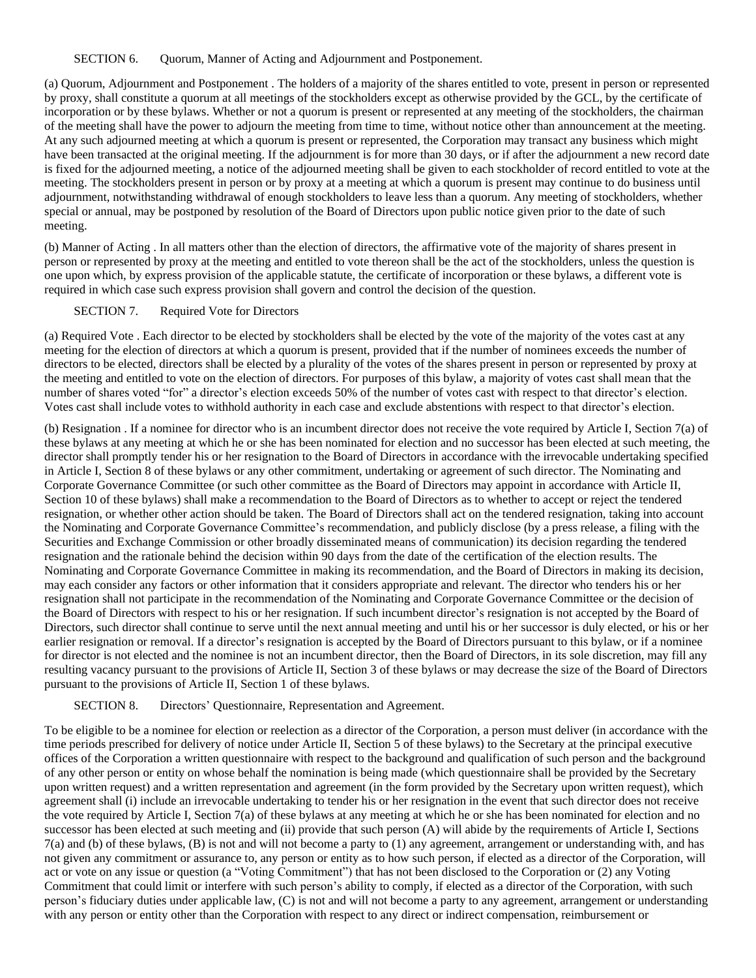SECTION 6. Quorum, Manner of Acting and Adjournment and Postponement.

(a) Quorum, Adjournment and Postponement . The holders of a majority of the shares entitled to vote, present in person or represented by proxy, shall constitute a quorum at all meetings of the stockholders except as otherwise provided by the GCL, by the certificate of incorporation or by these bylaws. Whether or not a quorum is present or represented at any meeting of the stockholders, the chairman of the meeting shall have the power to adjourn the meeting from time to time, without notice other than announcement at the meeting. At any such adjourned meeting at which a quorum is present or represented, the Corporation may transact any business which might have been transacted at the original meeting. If the adjournment is for more than 30 days, or if after the adjournment a new record date is fixed for the adjourned meeting, a notice of the adjourned meeting shall be given to each stockholder of record entitled to vote at the meeting. The stockholders present in person or by proxy at a meeting at which a quorum is present may continue to do business until adjournment, notwithstanding withdrawal of enough stockholders to leave less than a quorum. Any meeting of stockholders, whether special or annual, may be postponed by resolution of the Board of Directors upon public notice given prior to the date of such meeting.

(b) Manner of Acting . In all matters other than the election of directors, the affirmative vote of the majority of shares present in person or represented by proxy at the meeting and entitled to vote thereon shall be the act of the stockholders, unless the question is one upon which, by express provision of the applicable statute, the certificate of incorporation or these bylaws, a different vote is required in which case such express provision shall govern and control the decision of the question.

#### SECTION 7. Required Vote for Directors

(a) Required Vote . Each director to be elected by stockholders shall be elected by the vote of the majority of the votes cast at any meeting for the election of directors at which a quorum is present, provided that if the number of nominees exceeds the number of directors to be elected, directors shall be elected by a plurality of the votes of the shares present in person or represented by proxy at the meeting and entitled to vote on the election of directors. For purposes of this bylaw, a majority of votes cast shall mean that the number of shares voted "for" a director's election exceeds 50% of the number of votes cast with respect to that director's election. Votes cast shall include votes to withhold authority in each case and exclude abstentions with respect to that director's election.

(b) Resignation . If a nominee for director who is an incumbent director does not receive the vote required by Article I, Section 7(a) of these bylaws at any meeting at which he or she has been nominated for election and no successor has been elected at such meeting, the director shall promptly tender his or her resignation to the Board of Directors in accordance with the irrevocable undertaking specified in Article I, Section 8 of these bylaws or any other commitment, undertaking or agreement of such director. The Nominating and Corporate Governance Committee (or such other committee as the Board of Directors may appoint in accordance with Article II, Section 10 of these bylaws) shall make a recommendation to the Board of Directors as to whether to accept or reject the tendered resignation, or whether other action should be taken. The Board of Directors shall act on the tendered resignation, taking into account the Nominating and Corporate Governance Committee's recommendation, and publicly disclose (by a press release, a filing with the Securities and Exchange Commission or other broadly disseminated means of communication) its decision regarding the tendered resignation and the rationale behind the decision within 90 days from the date of the certification of the election results. The Nominating and Corporate Governance Committee in making its recommendation, and the Board of Directors in making its decision, may each consider any factors or other information that it considers appropriate and relevant. The director who tenders his or her resignation shall not participate in the recommendation of the Nominating and Corporate Governance Committee or the decision of the Board of Directors with respect to his or her resignation. If such incumbent director's resignation is not accepted by the Board of Directors, such director shall continue to serve until the next annual meeting and until his or her successor is duly elected, or his or her earlier resignation or removal. If a director's resignation is accepted by the Board of Directors pursuant to this bylaw, or if a nominee for director is not elected and the nominee is not an incumbent director, then the Board of Directors, in its sole discretion, may fill any resulting vacancy pursuant to the provisions of Article II, Section 3 of these bylaws or may decrease the size of the Board of Directors pursuant to the provisions of Article II, Section 1 of these bylaws.

#### SECTION 8. Directors' Questionnaire, Representation and Agreement.

To be eligible to be a nominee for election or reelection as a director of the Corporation, a person must deliver (in accordance with the time periods prescribed for delivery of notice under Article II, Section 5 of these bylaws) to the Secretary at the principal executive offices of the Corporation a written questionnaire with respect to the background and qualification of such person and the background of any other person or entity on whose behalf the nomination is being made (which questionnaire shall be provided by the Secretary upon written request) and a written representation and agreement (in the form provided by the Secretary upon written request), which agreement shall (i) include an irrevocable undertaking to tender his or her resignation in the event that such director does not receive the vote required by Article I, Section 7(a) of these bylaws at any meeting at which he or she has been nominated for election and no successor has been elected at such meeting and (ii) provide that such person (A) will abide by the requirements of Article I, Sections 7(a) and (b) of these bylaws, (B) is not and will not become a party to (1) any agreement, arrangement or understanding with, and has not given any commitment or assurance to, any person or entity as to how such person, if elected as a director of the Corporation, will act or vote on any issue or question (a "Voting Commitment") that has not been disclosed to the Corporation or (2) any Voting Commitment that could limit or interfere with such person's ability to comply, if elected as a director of the Corporation, with such person's fiduciary duties under applicable law, (C) is not and will not become a party to any agreement, arrangement or understanding with any person or entity other than the Corporation with respect to any direct or indirect compensation, reimbursement or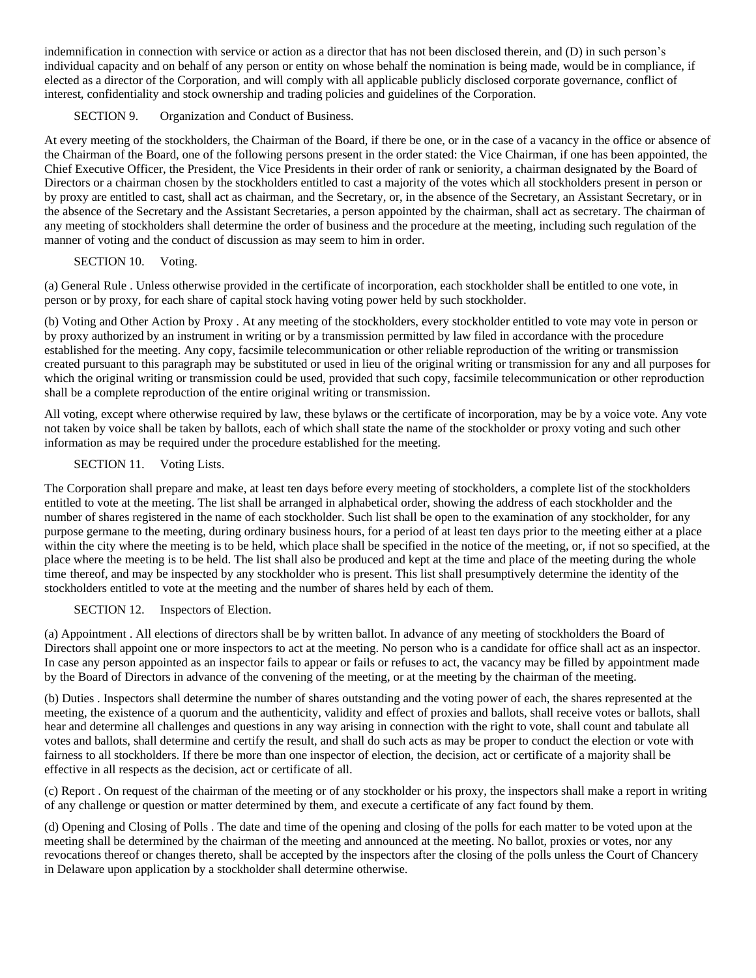indemnification in connection with service or action as a director that has not been disclosed therein, and (D) in such person's individual capacity and on behalf of any person or entity on whose behalf the nomination is being made, would be in compliance, if elected as a director of the Corporation, and will comply with all applicable publicly disclosed corporate governance, conflict of interest, confidentiality and stock ownership and trading policies and guidelines of the Corporation.

#### SECTION 9. Organization and Conduct of Business.

At every meeting of the stockholders, the Chairman of the Board, if there be one, or in the case of a vacancy in the office or absence of the Chairman of the Board, one of the following persons present in the order stated: the Vice Chairman, if one has been appointed, the Chief Executive Officer, the President, the Vice Presidents in their order of rank or seniority, a chairman designated by the Board of Directors or a chairman chosen by the stockholders entitled to cast a majority of the votes which all stockholders present in person or by proxy are entitled to cast, shall act as chairman, and the Secretary, or, in the absence of the Secretary, an Assistant Secretary, or in the absence of the Secretary and the Assistant Secretaries, a person appointed by the chairman, shall act as secretary. The chairman of any meeting of stockholders shall determine the order of business and the procedure at the meeting, including such regulation of the manner of voting and the conduct of discussion as may seem to him in order.

#### SECTION 10. Voting.

(a) General Rule . Unless otherwise provided in the certificate of incorporation, each stockholder shall be entitled to one vote, in person or by proxy, for each share of capital stock having voting power held by such stockholder.

(b) Voting and Other Action by Proxy . At any meeting of the stockholders, every stockholder entitled to vote may vote in person or by proxy authorized by an instrument in writing or by a transmission permitted by law filed in accordance with the procedure established for the meeting. Any copy, facsimile telecommunication or other reliable reproduction of the writing or transmission created pursuant to this paragraph may be substituted or used in lieu of the original writing or transmission for any and all purposes for which the original writing or transmission could be used, provided that such copy, facsimile telecommunication or other reproduction shall be a complete reproduction of the entire original writing or transmission.

All voting, except where otherwise required by law, these bylaws or the certificate of incorporation, may be by a voice vote. Any vote not taken by voice shall be taken by ballots, each of which shall state the name of the stockholder or proxy voting and such other information as may be required under the procedure established for the meeting.

#### SECTION 11. Voting Lists.

The Corporation shall prepare and make, at least ten days before every meeting of stockholders, a complete list of the stockholders entitled to vote at the meeting. The list shall be arranged in alphabetical order, showing the address of each stockholder and the number of shares registered in the name of each stockholder. Such list shall be open to the examination of any stockholder, for any purpose germane to the meeting, during ordinary business hours, for a period of at least ten days prior to the meeting either at a place within the city where the meeting is to be held, which place shall be specified in the notice of the meeting, or, if not so specified, at the place where the meeting is to be held. The list shall also be produced and kept at the time and place of the meeting during the whole time thereof, and may be inspected by any stockholder who is present. This list shall presumptively determine the identity of the stockholders entitled to vote at the meeting and the number of shares held by each of them.

#### SECTION 12. Inspectors of Election.

(a) Appointment . All elections of directors shall be by written ballot. In advance of any meeting of stockholders the Board of Directors shall appoint one or more inspectors to act at the meeting. No person who is a candidate for office shall act as an inspector. In case any person appointed as an inspector fails to appear or fails or refuses to act, the vacancy may be filled by appointment made by the Board of Directors in advance of the convening of the meeting, or at the meeting by the chairman of the meeting.

(b) Duties . Inspectors shall determine the number of shares outstanding and the voting power of each, the shares represented at the meeting, the existence of a quorum and the authenticity, validity and effect of proxies and ballots, shall receive votes or ballots, shall hear and determine all challenges and questions in any way arising in connection with the right to vote, shall count and tabulate all votes and ballots, shall determine and certify the result, and shall do such acts as may be proper to conduct the election or vote with fairness to all stockholders. If there be more than one inspector of election, the decision, act or certificate of a majority shall be effective in all respects as the decision, act or certificate of all.

(c) Report . On request of the chairman of the meeting or of any stockholder or his proxy, the inspectors shall make a report in writing of any challenge or question or matter determined by them, and execute a certificate of any fact found by them.

(d) Opening and Closing of Polls . The date and time of the opening and closing of the polls for each matter to be voted upon at the meeting shall be determined by the chairman of the meeting and announced at the meeting. No ballot, proxies or votes, nor any revocations thereof or changes thereto, shall be accepted by the inspectors after the closing of the polls unless the Court of Chancery in Delaware upon application by a stockholder shall determine otherwise.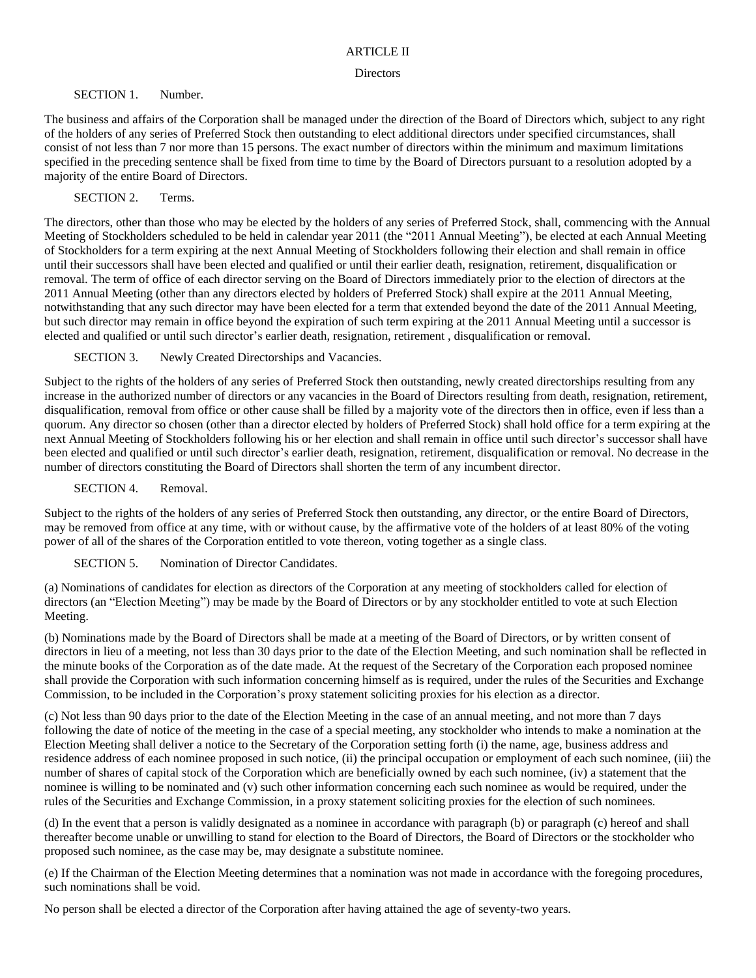#### ARTICLE II

#### **Directors**

#### SECTION 1. Number.

The business and affairs of the Corporation shall be managed under the direction of the Board of Directors which, subject to any right of the holders of any series of Preferred Stock then outstanding to elect additional directors under specified circumstances, shall consist of not less than 7 nor more than 15 persons. The exact number of directors within the minimum and maximum limitations specified in the preceding sentence shall be fixed from time to time by the Board of Directors pursuant to a resolution adopted by a majority of the entire Board of Directors.

#### SECTION 2. Terms.

The directors, other than those who may be elected by the holders of any series of Preferred Stock, shall, commencing with the Annual Meeting of Stockholders scheduled to be held in calendar year 2011 (the "2011 Annual Meeting"), be elected at each Annual Meeting of Stockholders for a term expiring at the next Annual Meeting of Stockholders following their election and shall remain in office until their successors shall have been elected and qualified or until their earlier death, resignation, retirement, disqualification or removal. The term of office of each director serving on the Board of Directors immediately prior to the election of directors at the 2011 Annual Meeting (other than any directors elected by holders of Preferred Stock) shall expire at the 2011 Annual Meeting, notwithstanding that any such director may have been elected for a term that extended beyond the date of the 2011 Annual Meeting, but such director may remain in office beyond the expiration of such term expiring at the 2011 Annual Meeting until a successor is elected and qualified or until such director's earlier death, resignation, retirement , disqualification or removal.

SECTION 3. Newly Created Directorships and Vacancies.

Subject to the rights of the holders of any series of Preferred Stock then outstanding, newly created directorships resulting from any increase in the authorized number of directors or any vacancies in the Board of Directors resulting from death, resignation, retirement, disqualification, removal from office or other cause shall be filled by a majority vote of the directors then in office, even if less than a quorum. Any director so chosen (other than a director elected by holders of Preferred Stock) shall hold office for a term expiring at the next Annual Meeting of Stockholders following his or her election and shall remain in office until such director's successor shall have been elected and qualified or until such director's earlier death, resignation, retirement, disqualification or removal. No decrease in the number of directors constituting the Board of Directors shall shorten the term of any incumbent director.

#### SECTION 4. Removal.

Subject to the rights of the holders of any series of Preferred Stock then outstanding, any director, or the entire Board of Directors, may be removed from office at any time, with or without cause, by the affirmative vote of the holders of at least 80% of the voting power of all of the shares of the Corporation entitled to vote thereon, voting together as a single class.

#### SECTION 5. Nomination of Director Candidates.

(a) Nominations of candidates for election as directors of the Corporation at any meeting of stockholders called for election of directors (an "Election Meeting") may be made by the Board of Directors or by any stockholder entitled to vote at such Election Meeting.

(b) Nominations made by the Board of Directors shall be made at a meeting of the Board of Directors, or by written consent of directors in lieu of a meeting, not less than 30 days prior to the date of the Election Meeting, and such nomination shall be reflected in the minute books of the Corporation as of the date made. At the request of the Secretary of the Corporation each proposed nominee shall provide the Corporation with such information concerning himself as is required, under the rules of the Securities and Exchange Commission, to be included in the Corporation's proxy statement soliciting proxies for his election as a director.

(c) Not less than 90 days prior to the date of the Election Meeting in the case of an annual meeting, and not more than 7 days following the date of notice of the meeting in the case of a special meeting, any stockholder who intends to make a nomination at the Election Meeting shall deliver a notice to the Secretary of the Corporation setting forth (i) the name, age, business address and residence address of each nominee proposed in such notice, (ii) the principal occupation or employment of each such nominee, (iii) the number of shares of capital stock of the Corporation which are beneficially owned by each such nominee, (iv) a statement that the nominee is willing to be nominated and (v) such other information concerning each such nominee as would be required, under the rules of the Securities and Exchange Commission, in a proxy statement soliciting proxies for the election of such nominees.

(d) In the event that a person is validly designated as a nominee in accordance with paragraph (b) or paragraph (c) hereof and shall thereafter become unable or unwilling to stand for election to the Board of Directors, the Board of Directors or the stockholder who proposed such nominee, as the case may be, may designate a substitute nominee.

(e) If the Chairman of the Election Meeting determines that a nomination was not made in accordance with the foregoing procedures, such nominations shall be void.

No person shall be elected a director of the Corporation after having attained the age of seventy-two years.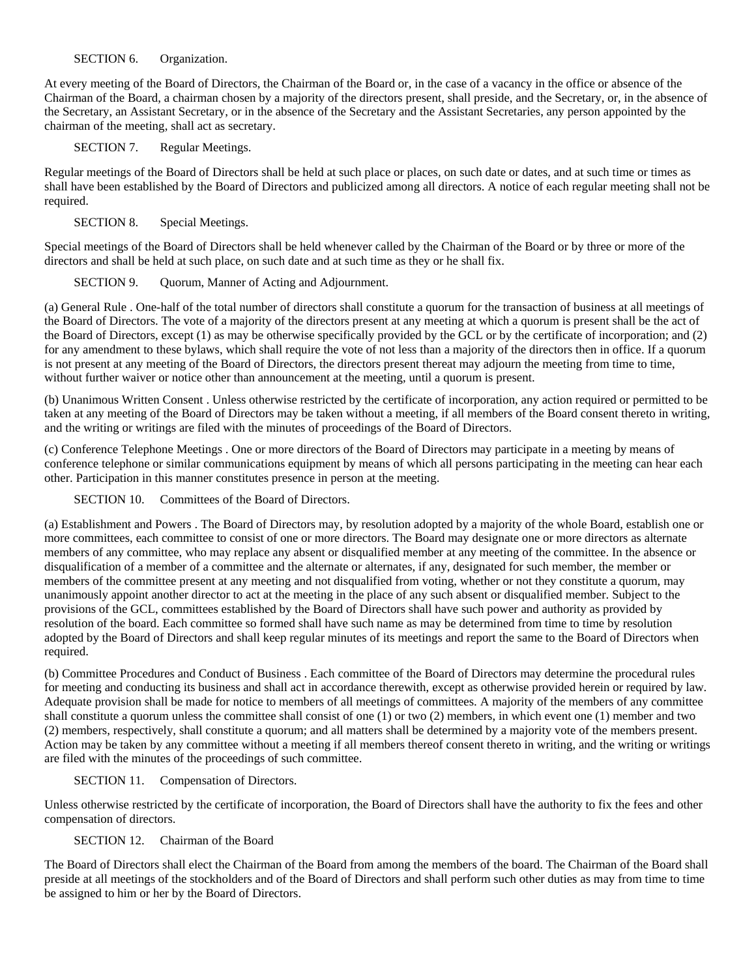#### SECTION 6. Organization.

At every meeting of the Board of Directors, the Chairman of the Board or, in the case of a vacancy in the office or absence of the Chairman of the Board, a chairman chosen by a majority of the directors present, shall preside, and the Secretary, or, in the absence of the Secretary, an Assistant Secretary, or in the absence of the Secretary and the Assistant Secretaries, any person appointed by the chairman of the meeting, shall act as secretary.

#### SECTION 7. Regular Meetings.

Regular meetings of the Board of Directors shall be held at such place or places, on such date or dates, and at such time or times as shall have been established by the Board of Directors and publicized among all directors. A notice of each regular meeting shall not be required.

#### SECTION 8. Special Meetings.

Special meetings of the Board of Directors shall be held whenever called by the Chairman of the Board or by three or more of the directors and shall be held at such place, on such date and at such time as they or he shall fix.

#### SECTION 9. Quorum, Manner of Acting and Adjournment.

(a) General Rule . One-half of the total number of directors shall constitute a quorum for the transaction of business at all meetings of the Board of Directors. The vote of a majority of the directors present at any meeting at which a quorum is present shall be the act of the Board of Directors, except (1) as may be otherwise specifically provided by the GCL or by the certificate of incorporation; and (2) for any amendment to these bylaws, which shall require the vote of not less than a majority of the directors then in office. If a quorum is not present at any meeting of the Board of Directors, the directors present thereat may adjourn the meeting from time to time, without further waiver or notice other than announcement at the meeting, until a quorum is present.

(b) Unanimous Written Consent . Unless otherwise restricted by the certificate of incorporation, any action required or permitted to be taken at any meeting of the Board of Directors may be taken without a meeting, if all members of the Board consent thereto in writing, and the writing or writings are filed with the minutes of proceedings of the Board of Directors.

(c) Conference Telephone Meetings . One or more directors of the Board of Directors may participate in a meeting by means of conference telephone or similar communications equipment by means of which all persons participating in the meeting can hear each other. Participation in this manner constitutes presence in person at the meeting.

#### SECTION 10. Committees of the Board of Directors.

(a) Establishment and Powers . The Board of Directors may, by resolution adopted by a majority of the whole Board, establish one or more committees, each committee to consist of one or more directors. The Board may designate one or more directors as alternate members of any committee, who may replace any absent or disqualified member at any meeting of the committee. In the absence or disqualification of a member of a committee and the alternate or alternates, if any, designated for such member, the member or members of the committee present at any meeting and not disqualified from voting, whether or not they constitute a quorum, may unanimously appoint another director to act at the meeting in the place of any such absent or disqualified member. Subject to the provisions of the GCL, committees established by the Board of Directors shall have such power and authority as provided by resolution of the board. Each committee so formed shall have such name as may be determined from time to time by resolution adopted by the Board of Directors and shall keep regular minutes of its meetings and report the same to the Board of Directors when required.

(b) Committee Procedures and Conduct of Business . Each committee of the Board of Directors may determine the procedural rules for meeting and conducting its business and shall act in accordance therewith, except as otherwise provided herein or required by law. Adequate provision shall be made for notice to members of all meetings of committees. A majority of the members of any committee shall constitute a quorum unless the committee shall consist of one (1) or two (2) members, in which event one (1) member and two (2) members, respectively, shall constitute a quorum; and all matters shall be determined by a majority vote of the members present. Action may be taken by any committee without a meeting if all members thereof consent thereto in writing, and the writing or writings are filed with the minutes of the proceedings of such committee.

#### SECTION 11. Compensation of Directors.

Unless otherwise restricted by the certificate of incorporation, the Board of Directors shall have the authority to fix the fees and other compensation of directors.

#### SECTION 12. Chairman of the Board

The Board of Directors shall elect the Chairman of the Board from among the members of the board. The Chairman of the Board shall preside at all meetings of the stockholders and of the Board of Directors and shall perform such other duties as may from time to time be assigned to him or her by the Board of Directors.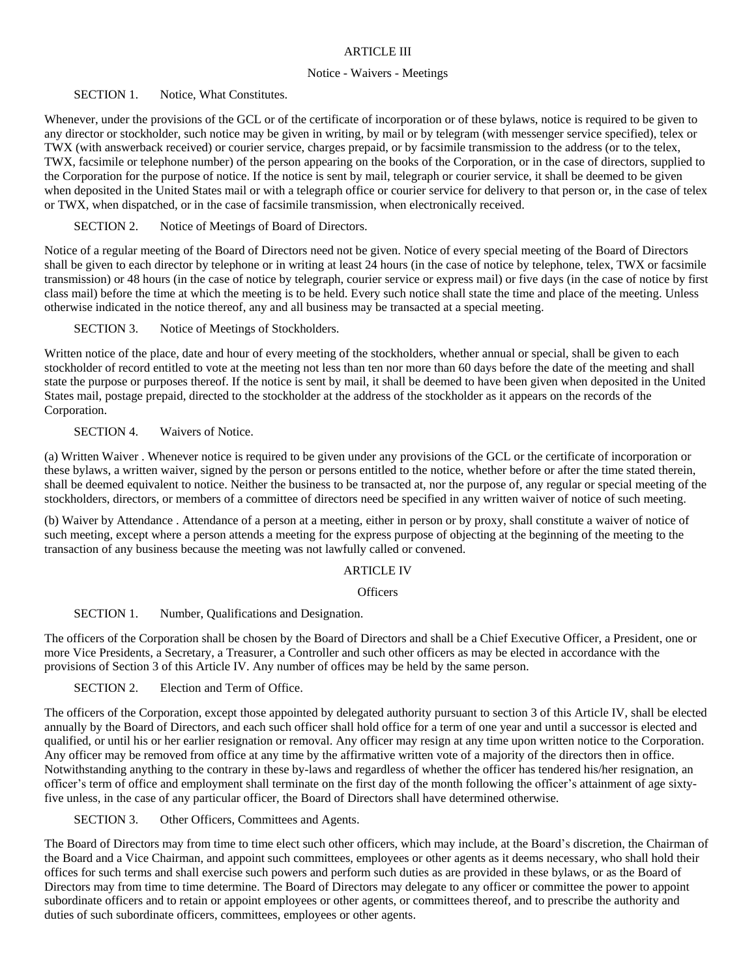#### ARTICLE III

#### Notice - Waivers - Meetings

#### SECTION 1. Notice, What Constitutes.

Whenever, under the provisions of the GCL or of the certificate of incorporation or of these bylaws, notice is required to be given to any director or stockholder, such notice may be given in writing, by mail or by telegram (with messenger service specified), telex or TWX (with answerback received) or courier service, charges prepaid, or by facsimile transmission to the address (or to the telex, TWX, facsimile or telephone number) of the person appearing on the books of the Corporation, or in the case of directors, supplied to the Corporation for the purpose of notice. If the notice is sent by mail, telegraph or courier service, it shall be deemed to be given when deposited in the United States mail or with a telegraph office or courier service for delivery to that person or, in the case of telex or TWX, when dispatched, or in the case of facsimile transmission, when electronically received.

SECTION 2. Notice of Meetings of Board of Directors.

Notice of a regular meeting of the Board of Directors need not be given. Notice of every special meeting of the Board of Directors shall be given to each director by telephone or in writing at least 24 hours (in the case of notice by telephone, telex, TWX or facsimile transmission) or 48 hours (in the case of notice by telegraph, courier service or express mail) or five days (in the case of notice by first class mail) before the time at which the meeting is to be held. Every such notice shall state the time and place of the meeting. Unless otherwise indicated in the notice thereof, any and all business may be transacted at a special meeting.

SECTION 3. Notice of Meetings of Stockholders.

Written notice of the place, date and hour of every meeting of the stockholders, whether annual or special, shall be given to each stockholder of record entitled to vote at the meeting not less than ten nor more than 60 days before the date of the meeting and shall state the purpose or purposes thereof. If the notice is sent by mail, it shall be deemed to have been given when deposited in the United States mail, postage prepaid, directed to the stockholder at the address of the stockholder as it appears on the records of the Corporation.

SECTION 4. Waivers of Notice.

(a) Written Waiver . Whenever notice is required to be given under any provisions of the GCL or the certificate of incorporation or these bylaws, a written waiver, signed by the person or persons entitled to the notice, whether before or after the time stated therein, shall be deemed equivalent to notice. Neither the business to be transacted at, nor the purpose of, any regular or special meeting of the stockholders, directors, or members of a committee of directors need be specified in any written waiver of notice of such meeting.

(b) Waiver by Attendance . Attendance of a person at a meeting, either in person or by proxy, shall constitute a waiver of notice of such meeting, except where a person attends a meeting for the express purpose of objecting at the beginning of the meeting to the transaction of any business because the meeting was not lawfully called or convened.

#### ARTICLE IV

**Officers** 

SECTION 1. Number, Qualifications and Designation.

The officers of the Corporation shall be chosen by the Board of Directors and shall be a Chief Executive Officer, a President, one or more Vice Presidents, a Secretary, a Treasurer, a Controller and such other officers as may be elected in accordance with the provisions of Section 3 of this Article IV. Any number of offices may be held by the same person.

SECTION 2. Election and Term of Office.

The officers of the Corporation, except those appointed by delegated authority pursuant to section 3 of this Article IV, shall be elected annually by the Board of Directors, and each such officer shall hold office for a term of one year and until a successor is elected and qualified, or until his or her earlier resignation or removal. Any officer may resign at any time upon written notice to the Corporation. Any officer may be removed from office at any time by the affirmative written vote of a majority of the directors then in office. Notwithstanding anything to the contrary in these by-laws and regardless of whether the officer has tendered his/her resignation, an officer's term of office and employment shall terminate on the first day of the month following the officer's attainment of age sixtyfive unless, in the case of any particular officer, the Board of Directors shall have determined otherwise.

SECTION 3. Other Officers, Committees and Agents.

The Board of Directors may from time to time elect such other officers, which may include, at the Board's discretion, the Chairman of the Board and a Vice Chairman, and appoint such committees, employees or other agents as it deems necessary, who shall hold their offices for such terms and shall exercise such powers and perform such duties as are provided in these bylaws, or as the Board of Directors may from time to time determine. The Board of Directors may delegate to any officer or committee the power to appoint subordinate officers and to retain or appoint employees or other agents, or committees thereof, and to prescribe the authority and duties of such subordinate officers, committees, employees or other agents.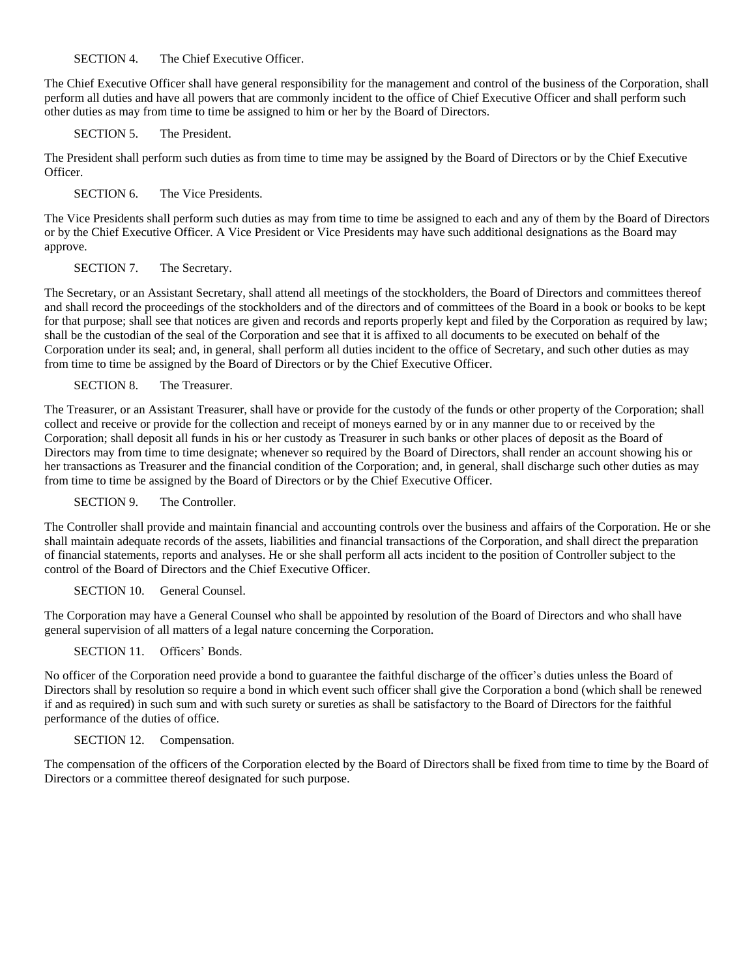SECTION 4. The Chief Executive Officer.

The Chief Executive Officer shall have general responsibility for the management and control of the business of the Corporation, shall perform all duties and have all powers that are commonly incident to the office of Chief Executive Officer and shall perform such other duties as may from time to time be assigned to him or her by the Board of Directors.

#### SECTION 5. The President.

The President shall perform such duties as from time to time may be assigned by the Board of Directors or by the Chief Executive Officer.

#### SECTION 6. The Vice Presidents.

The Vice Presidents shall perform such duties as may from time to time be assigned to each and any of them by the Board of Directors or by the Chief Executive Officer. A Vice President or Vice Presidents may have such additional designations as the Board may approve.

#### SECTION 7. The Secretary.

The Secretary, or an Assistant Secretary, shall attend all meetings of the stockholders, the Board of Directors and committees thereof and shall record the proceedings of the stockholders and of the directors and of committees of the Board in a book or books to be kept for that purpose; shall see that notices are given and records and reports properly kept and filed by the Corporation as required by law; shall be the custodian of the seal of the Corporation and see that it is affixed to all documents to be executed on behalf of the Corporation under its seal; and, in general, shall perform all duties incident to the office of Secretary, and such other duties as may from time to time be assigned by the Board of Directors or by the Chief Executive Officer.

#### SECTION 8. The Treasurer.

The Treasurer, or an Assistant Treasurer, shall have or provide for the custody of the funds or other property of the Corporation; shall collect and receive or provide for the collection and receipt of moneys earned by or in any manner due to or received by the Corporation; shall deposit all funds in his or her custody as Treasurer in such banks or other places of deposit as the Board of Directors may from time to time designate; whenever so required by the Board of Directors, shall render an account showing his or her transactions as Treasurer and the financial condition of the Corporation; and, in general, shall discharge such other duties as may from time to time be assigned by the Board of Directors or by the Chief Executive Officer.

#### SECTION 9. The Controller.

The Controller shall provide and maintain financial and accounting controls over the business and affairs of the Corporation. He or she shall maintain adequate records of the assets, liabilities and financial transactions of the Corporation, and shall direct the preparation of financial statements, reports and analyses. He or she shall perform all acts incident to the position of Controller subject to the control of the Board of Directors and the Chief Executive Officer.

#### SECTION 10. General Counsel.

The Corporation may have a General Counsel who shall be appointed by resolution of the Board of Directors and who shall have general supervision of all matters of a legal nature concerning the Corporation.

#### SECTION 11. Officers' Bonds.

No officer of the Corporation need provide a bond to guarantee the faithful discharge of the officer's duties unless the Board of Directors shall by resolution so require a bond in which event such officer shall give the Corporation a bond (which shall be renewed if and as required) in such sum and with such surety or sureties as shall be satisfactory to the Board of Directors for the faithful performance of the duties of office.

#### SECTION 12. Compensation.

The compensation of the officers of the Corporation elected by the Board of Directors shall be fixed from time to time by the Board of Directors or a committee thereof designated for such purpose.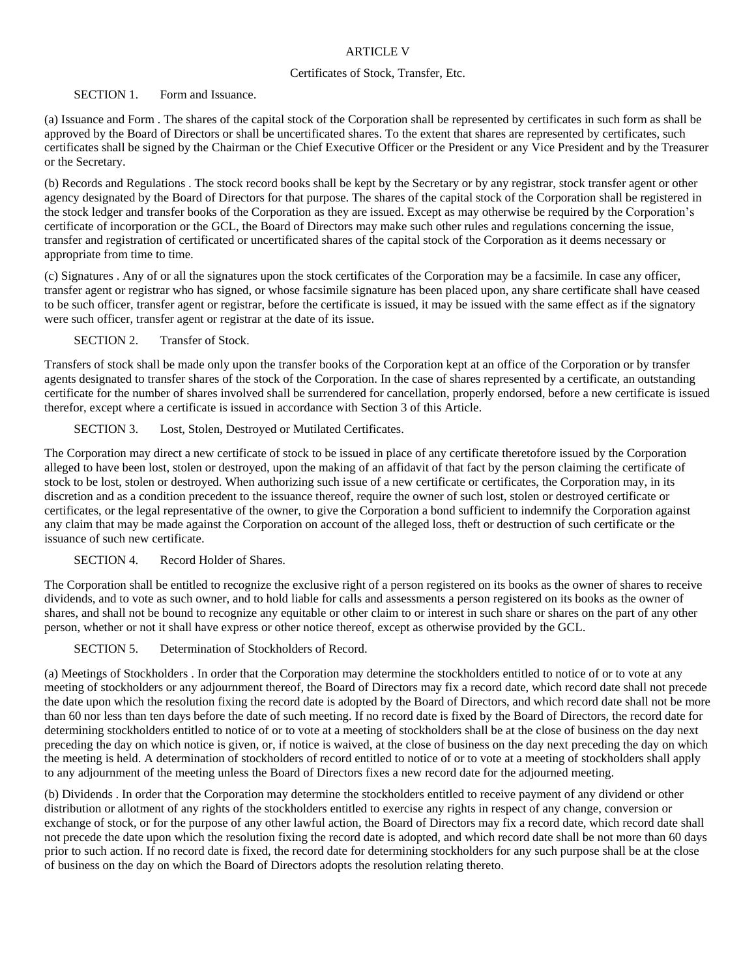#### ARTICLE V

#### Certificates of Stock, Transfer, Etc.

#### SECTION 1. Form and Issuance.

(a) Issuance and Form . The shares of the capital stock of the Corporation shall be represented by certificates in such form as shall be approved by the Board of Directors or shall be uncertificated shares. To the extent that shares are represented by certificates, such certificates shall be signed by the Chairman or the Chief Executive Officer or the President or any Vice President and by the Treasurer or the Secretary.

(b) Records and Regulations . The stock record books shall be kept by the Secretary or by any registrar, stock transfer agent or other agency designated by the Board of Directors for that purpose. The shares of the capital stock of the Corporation shall be registered in the stock ledger and transfer books of the Corporation as they are issued. Except as may otherwise be required by the Corporation's certificate of incorporation or the GCL, the Board of Directors may make such other rules and regulations concerning the issue, transfer and registration of certificated or uncertificated shares of the capital stock of the Corporation as it deems necessary or appropriate from time to time.

(c) Signatures . Any of or all the signatures upon the stock certificates of the Corporation may be a facsimile. In case any officer, transfer agent or registrar who has signed, or whose facsimile signature has been placed upon, any share certificate shall have ceased to be such officer, transfer agent or registrar, before the certificate is issued, it may be issued with the same effect as if the signatory were such officer, transfer agent or registrar at the date of its issue.

SECTION 2. Transfer of Stock.

Transfers of stock shall be made only upon the transfer books of the Corporation kept at an office of the Corporation or by transfer agents designated to transfer shares of the stock of the Corporation. In the case of shares represented by a certificate, an outstanding certificate for the number of shares involved shall be surrendered for cancellation, properly endorsed, before a new certificate is issued therefor, except where a certificate is issued in accordance with Section 3 of this Article.

SECTION 3. Lost, Stolen, Destroyed or Mutilated Certificates.

The Corporation may direct a new certificate of stock to be issued in place of any certificate theretofore issued by the Corporation alleged to have been lost, stolen or destroyed, upon the making of an affidavit of that fact by the person claiming the certificate of stock to be lost, stolen or destroyed. When authorizing such issue of a new certificate or certificates, the Corporation may, in its discretion and as a condition precedent to the issuance thereof, require the owner of such lost, stolen or destroyed certificate or certificates, or the legal representative of the owner, to give the Corporation a bond sufficient to indemnify the Corporation against any claim that may be made against the Corporation on account of the alleged loss, theft or destruction of such certificate or the issuance of such new certificate.

SECTION 4. Record Holder of Shares.

The Corporation shall be entitled to recognize the exclusive right of a person registered on its books as the owner of shares to receive dividends, and to vote as such owner, and to hold liable for calls and assessments a person registered on its books as the owner of shares, and shall not be bound to recognize any equitable or other claim to or interest in such share or shares on the part of any other person, whether or not it shall have express or other notice thereof, except as otherwise provided by the GCL.

SECTION 5. Determination of Stockholders of Record.

(a) Meetings of Stockholders . In order that the Corporation may determine the stockholders entitled to notice of or to vote at any meeting of stockholders or any adjournment thereof, the Board of Directors may fix a record date, which record date shall not precede the date upon which the resolution fixing the record date is adopted by the Board of Directors, and which record date shall not be more than 60 nor less than ten days before the date of such meeting. If no record date is fixed by the Board of Directors, the record date for determining stockholders entitled to notice of or to vote at a meeting of stockholders shall be at the close of business on the day next preceding the day on which notice is given, or, if notice is waived, at the close of business on the day next preceding the day on which the meeting is held. A determination of stockholders of record entitled to notice of or to vote at a meeting of stockholders shall apply to any adjournment of the meeting unless the Board of Directors fixes a new record date for the adjourned meeting.

(b) Dividends . In order that the Corporation may determine the stockholders entitled to receive payment of any dividend or other distribution or allotment of any rights of the stockholders entitled to exercise any rights in respect of any change, conversion or exchange of stock, or for the purpose of any other lawful action, the Board of Directors may fix a record date, which record date shall not precede the date upon which the resolution fixing the record date is adopted, and which record date shall be not more than 60 days prior to such action. If no record date is fixed, the record date for determining stockholders for any such purpose shall be at the close of business on the day on which the Board of Directors adopts the resolution relating thereto.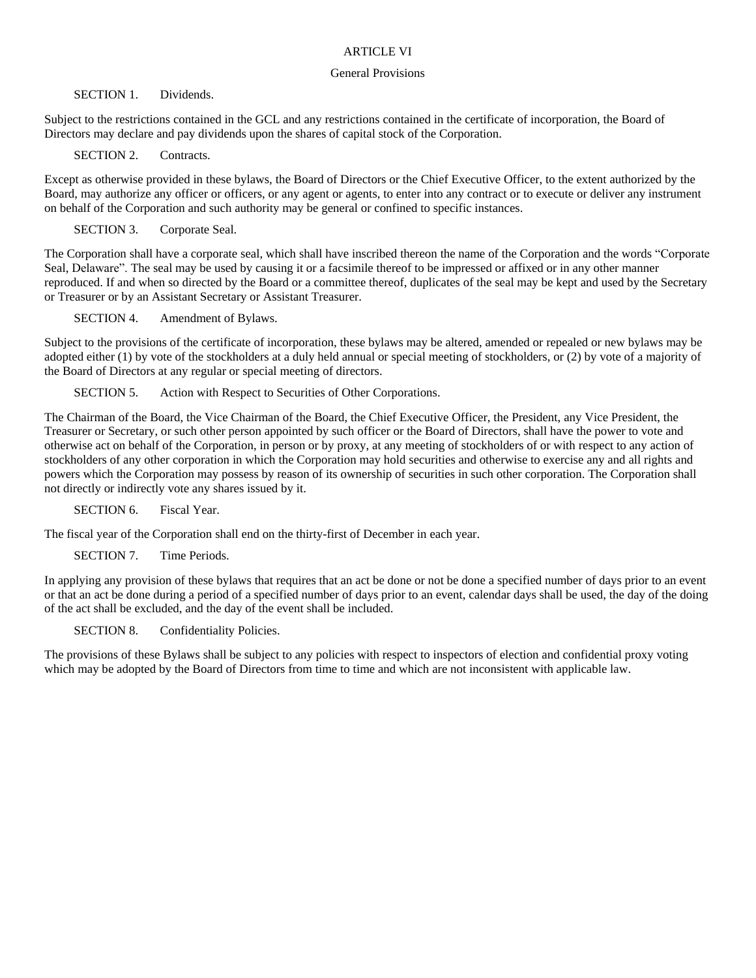#### ARTICLE VI

#### General Provisions

#### SECTION 1. Dividends.

Subject to the restrictions contained in the GCL and any restrictions contained in the certificate of incorporation, the Board of Directors may declare and pay dividends upon the shares of capital stock of the Corporation.

SECTION 2. Contracts.

Except as otherwise provided in these bylaws, the Board of Directors or the Chief Executive Officer, to the extent authorized by the Board, may authorize any officer or officers, or any agent or agents, to enter into any contract or to execute or deliver any instrument on behalf of the Corporation and such authority may be general or confined to specific instances.

SECTION 3. Corporate Seal.

The Corporation shall have a corporate seal, which shall have inscribed thereon the name of the Corporation and the words "Corporate Seal, Delaware". The seal may be used by causing it or a facsimile thereof to be impressed or affixed or in any other manner reproduced. If and when so directed by the Board or a committee thereof, duplicates of the seal may be kept and used by the Secretary or Treasurer or by an Assistant Secretary or Assistant Treasurer.

SECTION 4. Amendment of Bylaws.

Subject to the provisions of the certificate of incorporation, these bylaws may be altered, amended or repealed or new bylaws may be adopted either (1) by vote of the stockholders at a duly held annual or special meeting of stockholders, or (2) by vote of a majority of the Board of Directors at any regular or special meeting of directors.

SECTION 5. Action with Respect to Securities of Other Corporations.

The Chairman of the Board, the Vice Chairman of the Board, the Chief Executive Officer, the President, any Vice President, the Treasurer or Secretary, or such other person appointed by such officer or the Board of Directors, shall have the power to vote and otherwise act on behalf of the Corporation, in person or by proxy, at any meeting of stockholders of or with respect to any action of stockholders of any other corporation in which the Corporation may hold securities and otherwise to exercise any and all rights and powers which the Corporation may possess by reason of its ownership of securities in such other corporation. The Corporation shall not directly or indirectly vote any shares issued by it.

SECTION 6. Fiscal Year.

The fiscal year of the Corporation shall end on the thirty-first of December in each year.

SECTION 7. Time Periods.

In applying any provision of these bylaws that requires that an act be done or not be done a specified number of days prior to an event or that an act be done during a period of a specified number of days prior to an event, calendar days shall be used, the day of the doing of the act shall be excluded, and the day of the event shall be included.

SECTION 8. Confidentiality Policies.

The provisions of these Bylaws shall be subject to any policies with respect to inspectors of election and confidential proxy voting which may be adopted by the Board of Directors from time to time and which are not inconsistent with applicable law.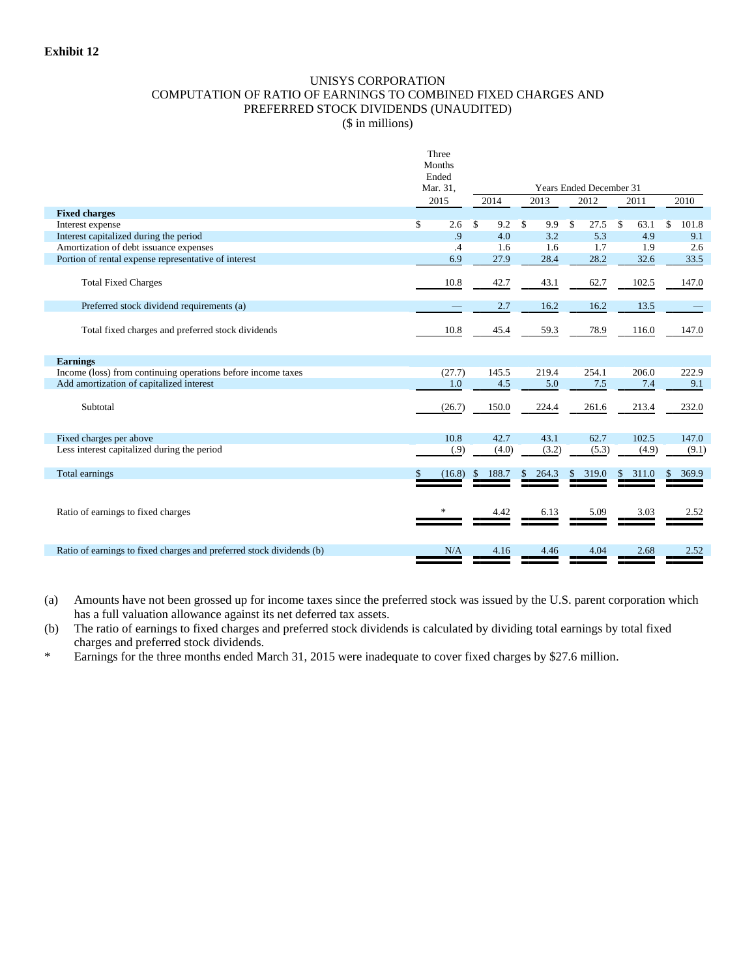### UNISYS CORPORATION COMPUTATION OF RATIO OF EARNINGS TO COMBINED FIXED CHARGES AND PREFERRED STOCK DIVIDENDS (UNAUDITED)

(\$ in millions)

|                                                                      | Three    |               |                                |                    |       |            |            |             |
|----------------------------------------------------------------------|----------|---------------|--------------------------------|--------------------|-------|------------|------------|-------------|
|                                                                      | Months   |               |                                |                    |       |            |            |             |
|                                                                      | Ended    |               |                                |                    |       |            |            |             |
|                                                                      | Mar. 31, |               | <b>Years Ended December 31</b> |                    |       |            |            |             |
|                                                                      | 2015     |               | 2014                           | 2013               |       | 2012       | 2011       | 2010        |
| <b>Fixed charges</b>                                                 |          |               |                                |                    |       |            |            |             |
| Interest expense                                                     | \$       | 2.6           | $\mathbf{\$}$<br>9.2           | $\mathbf{\hat{S}}$ | 9.9   | \$<br>27.5 | \$<br>63.1 | 101.8<br>\$ |
| Interest capitalized during the period                               |          | .9            | 4.0                            |                    | 3.2   | 5.3        | 4.9        | 9.1         |
| Amortization of debt issuance expenses                               |          | $\mathcal{A}$ | 1.6                            |                    | 1.6   | 1.7        | 1.9        | 2.6         |
| Portion of rental expense representative of interest                 |          | 6.9           | 27.9                           |                    | 28.4  | 28.2       | 32.6       | 33.5        |
|                                                                      |          |               |                                |                    |       |            |            |             |
| <b>Total Fixed Charges</b>                                           | 10.8     |               | 42.7                           |                    | 43.1  | 62.7       | 102.5      | 147.0       |
|                                                                      |          |               |                                |                    |       |            |            |             |
| Preferred stock dividend requirements (a)                            |          |               | 2.7                            |                    | 16.2  | 16.2       | 13.5       |             |
|                                                                      |          |               |                                |                    |       |            |            |             |
| Total fixed charges and preferred stock dividends                    | 10.8     |               | 45.4                           |                    | 59.3  | 78.9       | 116.0      | 147.0       |
|                                                                      |          |               |                                |                    |       |            |            |             |
|                                                                      |          |               |                                |                    |       |            |            |             |
| <b>Earnings</b>                                                      |          |               |                                |                    |       |            |            |             |
| Income (loss) from continuing operations before income taxes         | (27.7)   |               | 145.5                          | 219.4              |       | 254.1      | 206.0      | 222.9       |
| Add amortization of capitalized interest                             |          | 1.0           | 4.5                            |                    | 5.0   | 7.5        | 7.4        | 9.1         |
|                                                                      |          |               |                                |                    |       |            |            |             |
| Subtotal                                                             | (26.7)   |               | 150.0                          | 224.4              |       | 261.6      | 213.4      | 232.0       |
|                                                                      |          |               |                                |                    |       |            |            |             |
|                                                                      |          |               |                                |                    |       |            |            |             |
| Fixed charges per above                                              | 10.8     |               | 42.7                           |                    | 43.1  | 62.7       | 102.5      | 147.0       |
| Less interest capitalized during the period                          |          | (.9)          | (4.0)                          |                    | (3.2) | (5.3)      | (4.9)      | (9.1)       |
|                                                                      |          |               |                                |                    |       |            |            |             |
| Total earnings                                                       | (16.8)   |               | \$188.7                        | 264.3<br>\$        |       | \$319.0    | \$311.0    | 369.9<br>S. |
|                                                                      |          |               |                                |                    |       |            |            |             |
|                                                                      |          |               |                                |                    |       |            |            |             |
| Ratio of earnings to fixed charges                                   | *        |               | 4.42                           |                    | 6.13  | 5.09       | 3.03       | 2.52        |
|                                                                      |          |               |                                |                    |       |            |            |             |
|                                                                      |          |               |                                |                    |       |            |            |             |
|                                                                      |          |               |                                |                    |       |            |            |             |
| Ratio of earnings to fixed charges and preferred stock dividends (b) | N/A      |               | 4.16                           |                    | 4.46  | 4.04       | 2.68       | 2.52        |

- (a) Amounts have not been grossed up for income taxes since the preferred stock was issued by the U.S. parent corporation which has a full valuation allowance against its net deferred tax assets.
- (b) The ratio of earnings to fixed charges and preferred stock dividends is calculated by dividing total earnings by total fixed charges and preferred stock dividends.
- \* Earnings for the three months ended March 31, 2015 were inadequate to cover fixed charges by \$27.6 million.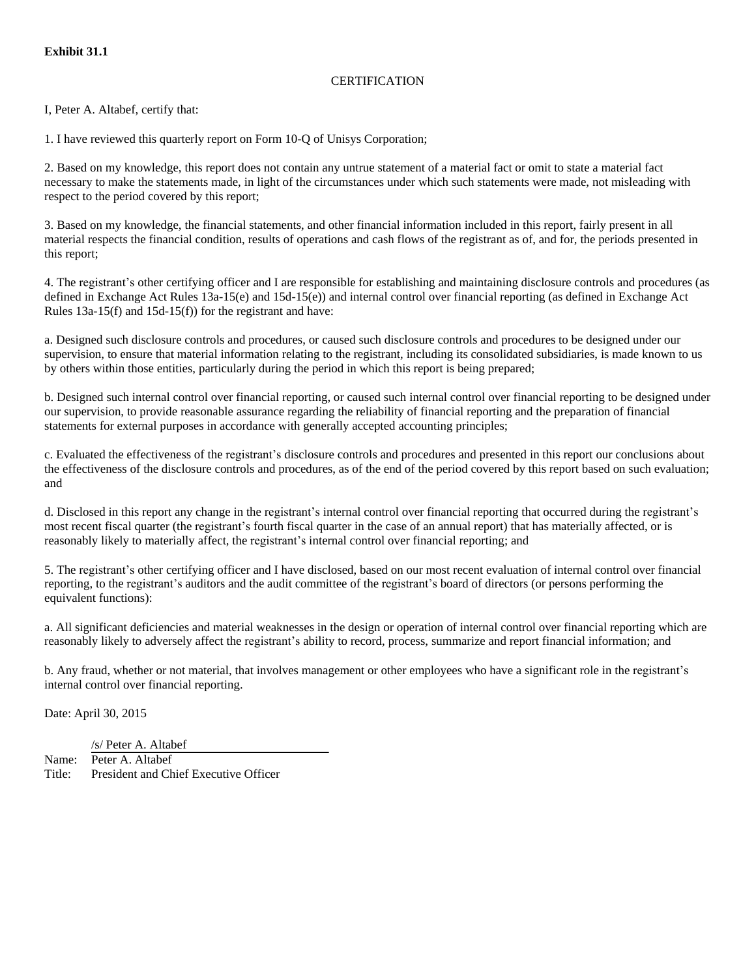#### **Exhibit 31.1**

#### **CERTIFICATION**

I, Peter A. Altabef, certify that:

1. I have reviewed this quarterly report on Form 10-Q of Unisys Corporation;

2. Based on my knowledge, this report does not contain any untrue statement of a material fact or omit to state a material fact necessary to make the statements made, in light of the circumstances under which such statements were made, not misleading with respect to the period covered by this report;

3. Based on my knowledge, the financial statements, and other financial information included in this report, fairly present in all material respects the financial condition, results of operations and cash flows of the registrant as of, and for, the periods presented in this report;

4. The registrant's other certifying officer and I are responsible for establishing and maintaining disclosure controls and procedures (as defined in Exchange Act Rules 13a-15(e) and 15d-15(e)) and internal control over financial reporting (as defined in Exchange Act Rules 13a-15(f) and 15d-15(f)) for the registrant and have:

a. Designed such disclosure controls and procedures, or caused such disclosure controls and procedures to be designed under our supervision, to ensure that material information relating to the registrant, including its consolidated subsidiaries, is made known to us by others within those entities, particularly during the period in which this report is being prepared;

b. Designed such internal control over financial reporting, or caused such internal control over financial reporting to be designed under our supervision, to provide reasonable assurance regarding the reliability of financial reporting and the preparation of financial statements for external purposes in accordance with generally accepted accounting principles;

c. Evaluated the effectiveness of the registrant's disclosure controls and procedures and presented in this report our conclusions about the effectiveness of the disclosure controls and procedures, as of the end of the period covered by this report based on such evaluation; and

d. Disclosed in this report any change in the registrant's internal control over financial reporting that occurred during the registrant's most recent fiscal quarter (the registrant's fourth fiscal quarter in the case of an annual report) that has materially affected, or is reasonably likely to materially affect, the registrant's internal control over financial reporting; and

5. The registrant's other certifying officer and I have disclosed, based on our most recent evaluation of internal control over financial reporting, to the registrant's auditors and the audit committee of the registrant's board of directors (or persons performing the equivalent functions):

a. All significant deficiencies and material weaknesses in the design or operation of internal control over financial reporting which are reasonably likely to adversely affect the registrant's ability to record, process, summarize and report financial information; and

b. Any fraud, whether or not material, that involves management or other employees who have a significant role in the registrant's internal control over financial reporting.

Date: April 30, 2015

/s/ Peter A. Altabef

Name: Peter A. Altabef Title: President and Chief Executive Officer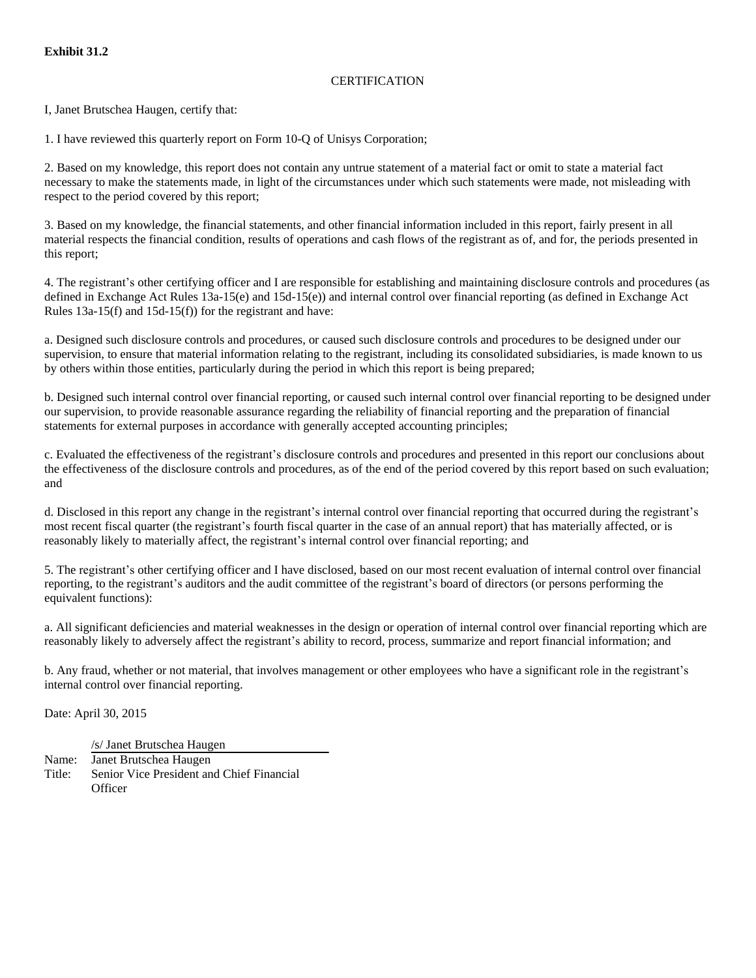#### **Exhibit 31.2**

#### **CERTIFICATION**

I, Janet Brutschea Haugen, certify that:

1. I have reviewed this quarterly report on Form 10-Q of Unisys Corporation;

2. Based on my knowledge, this report does not contain any untrue statement of a material fact or omit to state a material fact necessary to make the statements made, in light of the circumstances under which such statements were made, not misleading with respect to the period covered by this report;

3. Based on my knowledge, the financial statements, and other financial information included in this report, fairly present in all material respects the financial condition, results of operations and cash flows of the registrant as of, and for, the periods presented in this report;

4. The registrant's other certifying officer and I are responsible for establishing and maintaining disclosure controls and procedures (as defined in Exchange Act Rules 13a-15(e) and 15d-15(e)) and internal control over financial reporting (as defined in Exchange Act Rules 13a-15(f) and 15d-15(f)) for the registrant and have:

a. Designed such disclosure controls and procedures, or caused such disclosure controls and procedures to be designed under our supervision, to ensure that material information relating to the registrant, including its consolidated subsidiaries, is made known to us by others within those entities, particularly during the period in which this report is being prepared;

b. Designed such internal control over financial reporting, or caused such internal control over financial reporting to be designed under our supervision, to provide reasonable assurance regarding the reliability of financial reporting and the preparation of financial statements for external purposes in accordance with generally accepted accounting principles;

c. Evaluated the effectiveness of the registrant's disclosure controls and procedures and presented in this report our conclusions about the effectiveness of the disclosure controls and procedures, as of the end of the period covered by this report based on such evaluation; and

d. Disclosed in this report any change in the registrant's internal control over financial reporting that occurred during the registrant's most recent fiscal quarter (the registrant's fourth fiscal quarter in the case of an annual report) that has materially affected, or is reasonably likely to materially affect, the registrant's internal control over financial reporting; and

5. The registrant's other certifying officer and I have disclosed, based on our most recent evaluation of internal control over financial reporting, to the registrant's auditors and the audit committee of the registrant's board of directors (or persons performing the equivalent functions):

a. All significant deficiencies and material weaknesses in the design or operation of internal control over financial reporting which are reasonably likely to adversely affect the registrant's ability to record, process, summarize and report financial information; and

b. Any fraud, whether or not material, that involves management or other employees who have a significant role in the registrant's internal control over financial reporting.

Date: April 30, 2015

/s/ Janet Brutschea Haugen

Name: Janet Brutschea Haugen Title: Senior Vice President and Chief Financial **Officer**